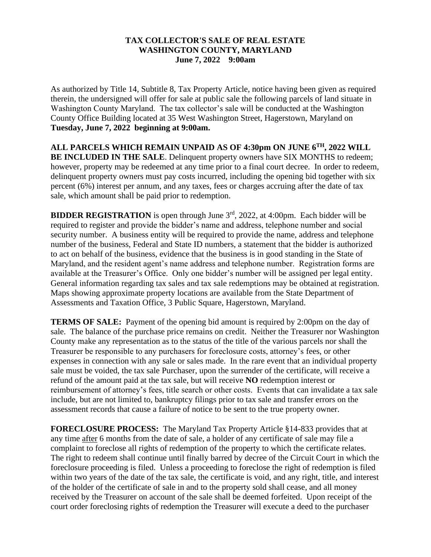# **TAX COLLECTOR'S SALE OF REAL ESTATE WASHINGTON COUNTY, MARYLAND June 7, 2022 9:00am**

As authorized by Title 14, Subtitle 8, Tax Property Article, notice having been given as required therein, the undersigned will offer for sale at public sale the following parcels of land situate in Washington County Maryland. The tax collector's sale will be conducted at the Washington County Office Building located at 35 West Washington Street, Hagerstown, Maryland on **Tuesday, June 7, 2022 beginning at 9:00am.**

**ALL PARCELS WHICH REMAIN UNPAID AS OF 4:30pm ON JUNE 6 TH, 2022 WILL BE INCLUDED IN THE SALE**. Delinquent property owners have SIX MONTHS to redeem; however, property may be redeemed at any time prior to a final court decree. In order to redeem, delinquent property owners must pay costs incurred, including the opening bid together with six percent (6%) interest per annum, and any taxes, fees or charges accruing after the date of tax sale, which amount shall be paid prior to redemption.

**BIDDER REGISTRATION** is open through June 3<sup>rd</sup>, 2022, at 4:00pm. Each bidder will be required to register and provide the bidder's name and address, telephone number and social security number. A business entity will be required to provide the name, address and telephone number of the business, Federal and State ID numbers, a statement that the bidder is authorized to act on behalf of the business, evidence that the business is in good standing in the State of Maryland, and the resident agent's name address and telephone number. Registration forms are available at the Treasurer's Office. Only one bidder's number will be assigned per legal entity. General information regarding tax sales and tax sale redemptions may be obtained at registration. Maps showing approximate property locations are available from the State Department of Assessments and Taxation Office, 3 Public Square, Hagerstown, Maryland.

**TERMS OF SALE:** Payment of the opening bid amount is required by 2:00pm on the day of sale. The balance of the purchase price remains on credit. Neither the Treasurer nor Washington County make any representation as to the status of the title of the various parcels nor shall the Treasurer be responsible to any purchasers for foreclosure costs, attorney's fees, or other expenses in connection with any sale or sales made. In the rare event that an individual property sale must be voided, the tax sale Purchaser, upon the surrender of the certificate, will receive a refund of the amount paid at the tax sale, but will receive **NO** redemption interest or reimbursement of attorney's fees, title search or other costs. Events that can invalidate a tax sale include, but are not limited to, bankruptcy filings prior to tax sale and transfer errors on the assessment records that cause a failure of notice to be sent to the true property owner.

**FORECLOSURE PROCESS:** The Maryland Tax Property Article §14-833 provides that at any time after 6 months from the date of sale, a holder of any certificate of sale may file a complaint to foreclose all rights of redemption of the property to which the certificate relates. The right to redeem shall continue until finally barred by decree of the Circuit Court in which the foreclosure proceeding is filed. Unless a proceeding to foreclose the right of redemption is filed within two years of the date of the tax sale, the certificate is void, and any right, title, and interest of the holder of the certificate of sale in and to the property sold shall cease, and all money received by the Treasurer on account of the sale shall be deemed forfeited. Upon receipt of the court order foreclosing rights of redemption the Treasurer will execute a deed to the purchaser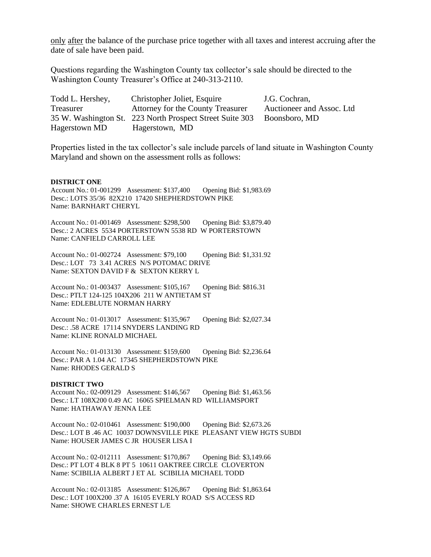only after the balance of the purchase price together with all taxes and interest accruing after the date of sale have been paid.

Questions regarding the Washington County tax collector's sale should be directed to the Washington County Treasurer's Office at 240-313-2110.

| Todd L. Hershey, | Christopher Joliet, Esquire                                            | J.G. Cochran,             |
|------------------|------------------------------------------------------------------------|---------------------------|
| Treasurer        | Attorney for the County Treasurer                                      | Auctioneer and Assoc. Ltd |
|                  | 35 W. Washington St. 223 North Prospect Street Suite 303 Boonsboro, MD |                           |
| Hagerstown MD    | Hagerstown, MD                                                         |                           |

Properties listed in the tax collector's sale include parcels of land situate in Washington County Maryland and shown on the assessment rolls as follows:

### **DISTRICT ONE**

Account No.: 01-001299 Assessment: \$137,400 Opening Bid: \$1,983.69 Desc.: LOTS 35/36 82X210 17420 SHEPHERDSTOWN PIKE Name: BARNHART CHERYL

Account No.: 01-001469 Assessment: \$298,500 Opening Bid: \$3,879.40 Desc.: 2 ACRES 5534 PORTERSTOWN 5538 RD W PORTERSTOWN Name: CANFIELD CARROLL LEE

Account No.: 01-002724 Assessment: \$79,100 Opening Bid: \$1,331.92 Desc.: LOT 73 3.41 ACRES N/S POTOMAC DRIVE Name: SEXTON DAVID F & SEXTON KERRY L

Account No.: 01-003437 Assessment: \$105,167 Opening Bid: \$816.31 Desc.: PTLT 124-125 104X206 211 W ANTIETAM ST Name: EDLEBLUTE NORMAN HARRY

Account No.: 01-013017 Assessment: \$135,967 Opening Bid: \$2,027.34 Desc.: .58 ACRE 17114 SNYDERS LANDING RD Name: KLINE RONALD MICHAEL

Account No.: 01-013130 Assessment: \$159,600 Opening Bid: \$2,236.64 Desc.: PAR A 1.04 AC 17345 SHEPHERDSTOWN PIKE Name: RHODES GERALD S

#### **DISTRICT TWO**

Account No.: 02-009129 Assessment: \$146,567 Opening Bid: \$1,463.56 Desc.: LT 108X200 0.49 AC 16065 SPIELMAN RD WILLIAMSPORT Name: HATHAWAY JENNA LEE

Account No.: 02-010461 Assessment: \$190,000 Opening Bid: \$2,673.26 Desc.: LOT B .46 AC 10037 DOWNSVILLE PIKE PLEASANT VIEW HGTS SUBDI Name: HOUSER JAMES C JR HOUSER LISA I

Account No.: 02-012111 Assessment: \$170,867 Opening Bid: \$3,149.66 Desc.: PT LOT 4 BLK 8 PT 5 10611 OAKTREE CIRCLE CLOVERTON Name: SCIBILIA ALBERT J ET AL SCIBILIA MICHAEL TODD

Account No.: 02-013185 Assessment: \$126,867 Opening Bid: \$1,863.64 Desc.: LOT 100X200 .37 A 16105 EVERLY ROAD S/S ACCESS RD Name: SHOWE CHARLES ERNEST L/E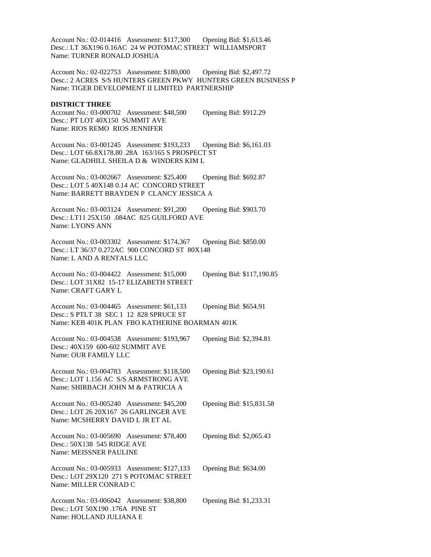Account No.: 02-014416 Assessment: \$117,300 Opening Bid: \$1,613.46 Desc.: LT 36X196 0.16AC 24 W POTOMAC STREET WILLIAMSPORT Name: TURNER RONALD JOSHUA

Account No.: 02-022753 Assessment: \$180,000 Opening Bid: \$2,497.72 Desc.: 2 ACRES S/S HUNTERS GREEN PKWY HUNTERS GREEN BUSINESS P Name: TIGER DEVELOPMENT II LIMITED PARTNERSHIP

### **DISTRICT THREE**

Account No.: 03-000702 Assessment: \$48,500 Opening Bid: \$912.29 Desc.: PT LOT 40X150 SUMMIT AVE Name: RIOS REMO RIOS JENNIFER

Account No.: 03-001245 Assessment: \$193,233 Opening Bid: \$6,161.03 Desc.: LOT 66.8X178.80 .28A 163/165 S PROSPECT ST Name: GLADHILL SHEILA D & WINDERS KIM L

Account No.: 03-002667 Assessment: \$25,400 Opening Bid: \$692.87 Desc.: LOT 5 40X148 0.14 AC CONCORD STREET Name: BARRETT BRAYDEN P CLANCY JESSICA A

Account No.: 03-003124 Assessment: \$91,200 Opening Bid: \$903.70 Desc.: LT11 25X150 .084AC 825 GUILFORD AVE Name: LYONS ANN

Account No.: 03-003302 Assessment: \$174,367 Opening Bid: \$850.00 Desc.: LT 36/37 0.272AC 900 CONCORD ST 80X148 Name: L AND A RENTALS LLC

Account No.: 03-004422 Assessment: \$15,000 Opening Bid: \$117,190.85 Desc.: LOT 31X82 15-17 ELIZABETH STREET Name: CRAFT GARY L

Account No.: 03-004465 Assessment: \$61,133 Opening Bid: \$654.91 Desc.: S PTLT 38 SEC 1 12 828 SPRUCE ST Name: KEB 401K PLAN FBO KATHERINE BOARMAN 401K

Account No.: 03-004538 Assessment: \$193,967 Opening Bid: \$2,394.81 Desc.: 40X159 600-602 SUMMIT AVE Name: OUR FAMILY LLC

Account No.: 03-004783 Assessment: \$118,500 Opening Bid: \$23,190.61 Desc.: LOT 1.156 AC S/S ARMSTRONG AVE Name: SHIRBACH JOHN M & PATRICIA A

Account No.: 03-005240 Assessment: \$45,200 Opening Bid: \$15,831.58 Desc.: LOT 26 20X167 26 GARLINGER AVE Name: MCSHERRY DAVID L JR ET AL

Account No.: 03-005690 Assessment: \$78,400 Opening Bid: \$2,065.43 Desc.: 50X138 545 RIDGE AVE Name: MEISSNER PAULINE

Account No.: 03-005933 Assessment: \$127,133 Opening Bid: \$634.00 Desc.: LOT 29X120 271 S POTOMAC STREET Name: MILLER CONRAD C

Account No.: 03-006042 Assessment: \$38,800 Opening Bid: \$1,233.31 Desc.: LOT 50X190 .176A PINE ST Name: HOLLAND JULIANA E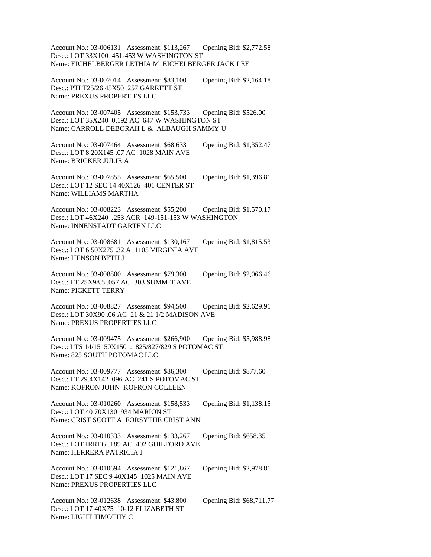Account No.: 03-006131 Assessment: \$113,267 Opening Bid: \$2,772.58 Desc.: LOT 33X100 451-453 W WASHINGTON ST Name: EICHELBERGER LETHIA M EICHELBERGER JACK LEE

Account No.: 03-007014 Assessment: \$83,100 Opening Bid: \$2,164.18 Desc.: PTLT25/26 45X50 257 GARRETT ST Name: PREXUS PROPERTIES LLC

Account No.: 03-007405 Assessment: \$153,733 Opening Bid: \$526.00 Desc.: LOT 35X240 0.192 AC 647 W WASHINGTON ST Name: CARROLL DEBORAH L & ALBAUGH SAMMY U

Account No.: 03-007464 Assessment: \$68,633 Opening Bid: \$1,352.47 Desc.: LOT 8 20X145 .07 AC 1028 MAIN AVE Name: BRICKER JULIE A

Account No.: 03-007855 Assessment: \$65,500 Opening Bid: \$1,396.81 Desc.: LOT 12 SEC 14 40X126 401 CENTER ST Name: WILLIAMS MARTHA

Account No.: 03-008223 Assessment: \$55,200 Opening Bid: \$1,570.17 Desc.: LOT 46X240 .253 ACR 149-151-153 W WASHINGTON Name: INNENSTADT GARTEN LLC

Account No.: 03-008681 Assessment: \$130,167 Opening Bid: \$1,815.53 Desc.: LOT 6 50X275 .32 A 1105 VIRGINIA AVE Name: HENSON BETH J

Account No.: 03-008800 Assessment: \$79,300 Opening Bid: \$2,066.46 Desc.: LT 25X98.5 .057 AC 303 SUMMIT AVE Name: PICKETT TERRY

Account No.: 03-008827 Assessment: \$94,500 Opening Bid: \$2,629.91 Desc.: LOT 30X90 .06 AC 21 & 21 1/2 MADISON AVE Name: PREXUS PROPERTIES LLC

Account No.: 03-009475 Assessment: \$266,900 Opening Bid: \$5,988.98 Desc.: LTS 14/15 50X150 . 825/827/829 S POTOMAC ST Name: 825 SOUTH POTOMAC LLC

Account No.: 03-009777 Assessment: \$86,300 Opening Bid: \$877.60 Desc.: LT 29.4X142 .096 AC 241 S POTOMAC ST Name: KOFRON JOHN KOFRON COLLEEN

Account No.: 03-010260 Assessment: \$158,533 Opening Bid: \$1,138.15 Desc.: LOT 40 70X130 934 MARION ST Name: CRIST SCOTT A FORSYTHE CRIST ANN

Account No.: 03-010333 Assessment: \$133,267 Opening Bid: \$658.35 Desc.: LOT IRREG .189 AC 402 GUILFORD AVE Name: HERRERA PATRICIA J

Account No.: 03-010694 Assessment: \$121,867 Opening Bid: \$2,978.81 Desc.: LOT 17 SEC 9 40X145 1025 MAIN AVE Name: PREXUS PROPERTIES LLC

Account No.: 03-012638 Assessment: \$43,800 Opening Bid: \$68,711.77 Desc.: LOT 17 40X75 10-12 ELIZABETH ST Name: LIGHT TIMOTHY C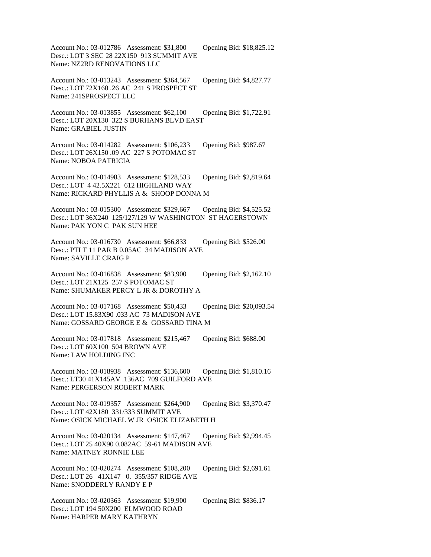Account No.: 03-012786 Assessment: \$31,800 Opening Bid: \$18,825.12 Desc.: LOT 3 SEC 28 22X150 913 SUMMIT AVE Name: NZ2RD RENOVATIONS LLC

Account No.: 03-013243 Assessment: \$364,567 Opening Bid: \$4,827.77 Desc.: LOT 72X160 .26 AC 241 S PROSPECT ST Name: 241SPROSPECT LLC

Account No.: 03-013855 Assessment: \$62,100 Opening Bid: \$1,722.91 Desc.: LOT 20X130 322 S BURHANS BLVD EAST Name: GRABIEL JUSTIN

Account No.: 03-014282 Assessment: \$106,233 Opening Bid: \$987.67 Desc.: LOT 26X150 .09 AC 227 S POTOMAC ST Name: NOBOA PATRICIA

Account No.: 03-014983 Assessment: \$128,533 Opening Bid: \$2,819.64 Desc.: LOT 4 42.5X221 612 HIGHLAND WAY Name: RICKARD PHYLLIS A & SHOOP DONNA M

Account No.: 03-015300 Assessment: \$329,667 Opening Bid: \$4,525.52 Desc.: LOT 36X240 125/127/129 W WASHINGTON ST HAGERSTOWN Name: PAK YON C PAK SUN HEE

Account No.: 03-016730 Assessment: \$66,833 Opening Bid: \$526.00 Desc.: PTLT 11 PAR B 0.05AC 34 MADISON AVE Name: SAVILLE CRAIG P

Account No.: 03-016838 Assessment: \$83,900 Opening Bid: \$2,162.10 Desc.: LOT 21X125 257 S POTOMAC ST Name: SHUMAKER PERCY L JR & DOROTHY A

Account No.: 03-017168 Assessment: \$50,433 Opening Bid: \$20,093.54 Desc.: LOT 15.83X90 .033 AC 73 MADISON AVE Name: GOSSARD GEORGE E & GOSSARD TINA M

Account No.: 03-017818 Assessment: \$215,467 Opening Bid: \$688.00 Desc.: LOT 60X100 504 BROWN AVE Name: LAW HOLDING INC

Account No.: 03-018938 Assessment: \$136,600 Opening Bid: \$1,810.16 Desc.: LT30 41X145AV .136AC 709 GUILFORD AVE Name: PERGERSON ROBERT MARK

Account No.: 03-019357 Assessment: \$264,900 Opening Bid: \$3,370.47 Desc.: LOT 42X180 331/333 SUMMIT AVE Name: OSICK MICHAEL W JR OSICK ELIZABETH H

Account No.: 03-020134 Assessment: \$147,467 Opening Bid: \$2,994.45 Desc.: LOT 25 40X90 0.082AC 59-61 MADISON AVE Name: MATNEY RONNIE LEE

Account No.: 03-020274 Assessment: \$108,200 Opening Bid: \$2,691.61 Desc.: LOT 26 41X147 0. 355/357 RIDGE AVE Name: SNODDERLY RANDY E P

Account No.: 03-020363 Assessment: \$19,900 Opening Bid: \$836.17 Desc.: LOT 194 50X200 ELMWOOD ROAD Name: HARPER MARY KATHRYN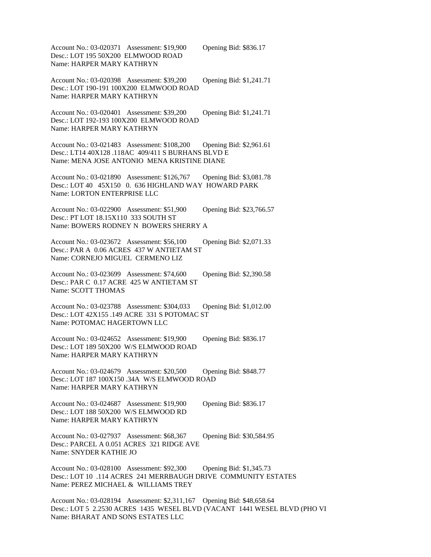Account No.: 03-020371 Assessment: \$19,900 Opening Bid: \$836.17 Desc.: LOT 195 50X200 ELMWOOD ROAD Name: HARPER MARY KATHRYN

Account No.: 03-020398 Assessment: \$39,200 Opening Bid: \$1,241.71 Desc.: LOT 190-191 100X200 ELMWOOD ROAD

Name: HARPER MARY KATHRYN

Account No.: 03-020401 Assessment: \$39,200 Opening Bid: \$1,241.71 Desc.: LOT 192-193 100X200 ELMWOOD ROAD Name: HARPER MARY KATHRYN

Account No.: 03-021483 Assessment: \$108,200 Opening Bid: \$2,961.61 Desc.: LT14 40X128 .118AC 409/411 S BURHANS BLVD E Name: MENA JOSE ANTONIO MENA KRISTINE DIANE

Account No.: 03-021890 Assessment: \$126,767 Opening Bid: \$3,081.78 Desc.: LOT 40 45X150 0. 636 HIGHLAND WAY HOWARD PARK Name: LORTON ENTERPRISE LLC

Account No.: 03-022900 Assessment: \$51,900 Opening Bid: \$23,766.57 Desc.: PT LOT 18.15X110 333 SOUTH ST Name: BOWERS RODNEY N BOWERS SHERRY A

Account No.: 03-023672 Assessment: \$56,100 Opening Bid: \$2,071.33 Desc.: PAR A 0.06 ACRES 437 W ANTIETAM ST Name: CORNEJO MIGUEL CERMENO LIZ

Account No.: 03-023699 Assessment: \$74,600 Opening Bid: \$2,390.58 Desc.: PAR C 0.17 ACRE 425 W ANTIETAM ST Name: SCOTT THOMAS

Account No.: 03-023788 Assessment: \$304,033 Opening Bid: \$1,012.00 Desc.: LOT 42X155 .149 ACRE 331 S POTOMAC ST Name: POTOMAC HAGERTOWN LLC

Account No.: 03-024652 Assessment: \$19,900 Opening Bid: \$836.17 Desc.: LOT 189 50X200 W/S ELMWOOD ROAD Name: HARPER MARY KATHRYN

Account No.: 03-024679 Assessment: \$20,500 Opening Bid: \$848.77 Desc.: LOT 187 100X150 .34A W/S ELMWOOD ROAD Name: HARPER MARY KATHRYN

Account No.: 03-024687 Assessment: \$19,900 Opening Bid: \$836.17 Desc.: LOT 188 50X200 W/S ELMWOOD RD Name: HARPER MARY KATHRYN

Account No.: 03-027937 Assessment: \$68,367 Opening Bid: \$30,584.95 Desc.: PARCEL A 0.051 ACRES 321 RIDGE AVE Name: SNYDER KATHIE JO

Account No.: 03-028100 Assessment: \$92,300 Opening Bid: \$1,345.73 Desc.: LOT 10 .114 ACRES 241 MERRBAUGH DRIVE COMMUNITY ESTATES Name: PEREZ MICHAEL & WILLIAMS TREY

Account No.: 03-028194 Assessment: \$2,311,167 Opening Bid: \$48,658.64 Desc.: LOT 5 2.2530 ACRES 1435 WESEL BLVD (VACANT 1441 WESEL BLVD (PHO VI Name: BHARAT AND SONS ESTATES LLC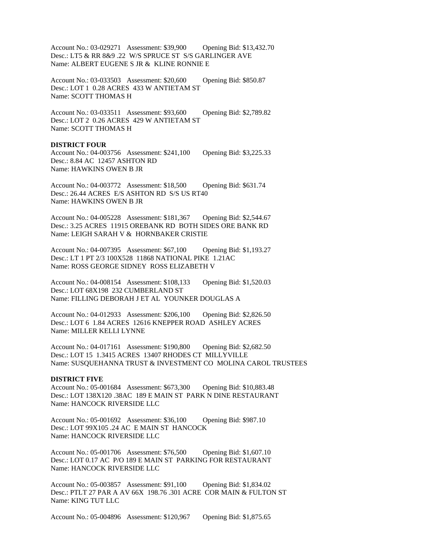Account No.: 03-029271 Assessment: \$39,900 Opening Bid: \$13,432.70 Desc.: LT5 & RR 8&9 .22 W/S SPRUCE ST S/S GARLINGER AVE Name: ALBERT EUGENE S JR & KLINE RONNIE E

Account No.: 03-033503 Assessment: \$20,600 Opening Bid: \$850.87 Desc.: LOT 1 0.28 ACRES 433 W ANTIETAM ST Name: SCOTT THOMAS H

Account No.: 03-033511 Assessment: \$93,600 Opening Bid: \$2,789.82 Desc.: LOT 2 0.26 ACRES 429 W ANTIETAM ST Name: SCOTT THOMAS H

### **DISTRICT FOUR**

Account No.: 04-003756 Assessment: \$241,100 Opening Bid: \$3,225.33 Desc.: 8.84 AC 12457 ASHTON RD Name: HAWKINS OWEN B JR

Account No.: 04-003772 Assessment: \$18,500 Opening Bid: \$631.74 Desc.: 26.44 ACRES E/S ASHTON RD S/S US RT40 Name: HAWKINS OWEN B JR

Account No.: 04-005228 Assessment: \$181,367 Opening Bid: \$2,544.67 Desc.: 3.25 ACRES 11915 OREBANK RD BOTH SIDES ORE BANK RD Name: LEIGH SARAH V & HORNBAKER CRISTIE

Account No.: 04-007395 Assessment: \$67,100 Opening Bid: \$1,193.27 Desc.: LT 1 PT 2/3 100X528 11868 NATIONAL PIKE 1.21AC Name: ROSS GEORGE SIDNEY ROSS ELIZABETH V

Account No.: 04-008154 Assessment: \$108,133 Opening Bid: \$1,520.03 Desc.: LOT 68X198 232 CUMBERLAND ST Name: FILLING DEBORAH J ET AL YOUNKER DOUGLAS A

Account No.: 04-012933 Assessment: \$206,100 Opening Bid: \$2,826.50 Desc.: LOT 6 1.84 ACRES 12616 KNEPPER ROAD ASHLEY ACRES Name: MILLER KELLI LYNNE

Account No.: 04-017161 Assessment: \$190,800 Opening Bid: \$2,682.50 Desc.: LOT 15 1.3415 ACRES 13407 RHODES CT MILLYVILLE Name: SUSQUEHANNA TRUST & INVESTMENT CO MOLINA CAROL TRUSTEES

### **DISTRICT FIVE**

Account No.: 05-001684 Assessment: \$673,300 Opening Bid: \$10,883.48 Desc.: LOT 138X120 .38AC 189 E MAIN ST PARK N DINE RESTAURANT Name: HANCOCK RIVERSIDE LLC

Account No.: 05-001692 Assessment: \$36,100 Opening Bid: \$987.10 Desc.: LOT 99X105 .24 AC E MAIN ST HANCOCK Name: HANCOCK RIVERSIDE LLC

Account No.: 05-001706 Assessment: \$76,500 Opening Bid: \$1,607.10 Desc.: LOT 0.17 AC P/O 189 E MAIN ST PARKING FOR RESTAURANT Name: HANCOCK RIVERSIDE LLC

Account No.: 05-003857 Assessment: \$91,100 Opening Bid: \$1,834.02 Desc.: PTLT 27 PAR A AV 66X 198.76 .301 ACRE COR MAIN & FULTON ST Name: KING TUT LLC

Account No.: 05-004896 Assessment: \$120,967 Opening Bid: \$1,875.65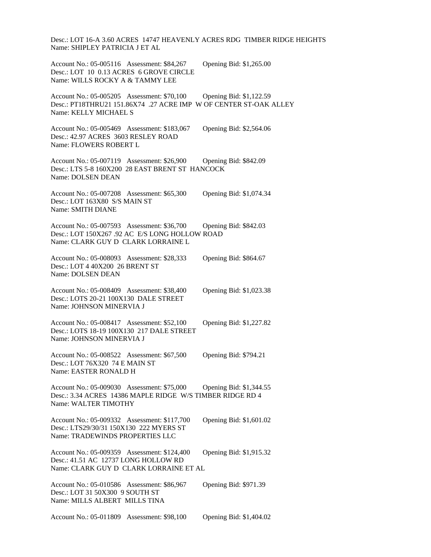Desc.: LOT 16-A 3.60 ACRES 14747 HEAVENLY ACRES RDG TIMBER RIDGE HEIGHTS Name: SHIPLEY PATRICIA J ET AL

Account No.: 05-005116 Assessment: \$84,267 Opening Bid: \$1,265.00 Desc.: LOT 10 0.13 ACRES 6 GROVE CIRCLE Name: WILLS ROCKY A & TAMMY LEE

Account No.: 05-005205 Assessment: \$70,100 Opening Bid: \$1,122.59 Desc.: PT18THRU21 151.86X74 .27 ACRE IMP W OF CENTER ST-OAK ALLEY Name: KELLY MICHAEL S

Account No.: 05-005469 Assessment: \$183,067 Opening Bid: \$2,564.06 Desc.: 42.97 ACRES 3603 RESLEY ROAD Name: FLOWERS ROBERT L

Account No.: 05-007119 Assessment: \$26,900 Opening Bid: \$842.09 Desc.: LTS 5-8 160X200 28 EAST BRENT ST HANCOCK Name: DOLSEN DEAN

Account No.: 05-007208 Assessment: \$65,300 Opening Bid: \$1,074.34 Desc.: LOT 163X80 S/S MAIN ST Name: SMITH DIANE

Account No.: 05-007593 Assessment: \$36,700 Opening Bid: \$842.03 Desc.: LOT 150X267 .92 AC E/S LONG HOLLOW ROAD Name: CLARK GUY D CLARK LORRAINE L

Account No.: 05-008093 Assessment: \$28,333 Opening Bid: \$864.67 Desc.: LOT 4 40X200 26 BRENT ST Name: DOLSEN DEAN

Account No.: 05-008409 Assessment: \$38,400 Opening Bid: \$1,023.38 Desc.: LOTS 20-21 100X130 DALE STREET Name: JOHNSON MINERVIA J

Account No.: 05-008417 Assessment: \$52,100 Opening Bid: \$1,227.82 Desc.: LOTS 18-19 100X130 217 DALE STREET Name: JOHNSON MINERVIA J

Account No.: 05-008522 Assessment: \$67,500 Opening Bid: \$794.21 Desc.: LOT 76X320 74 E MAIN ST Name: EASTER RONALD H

Account No.: 05-009030 Assessment: \$75,000 Opening Bid: \$1,344.55 Desc.: 3.34 ACRES 14386 MAPLE RIDGE W/S TIMBER RIDGE RD 4 Name: WALTER TIMOTHY

Account No.: 05-009332 Assessment: \$117,700 Opening Bid: \$1,601.02 Desc.: LTS29/30/31 150X130 222 MYERS ST Name: TRADEWINDS PROPERTIES LLC

Account No.: 05-009359 Assessment: \$124,400 Opening Bid: \$1,915.32 Desc.: 41.51 AC 12737 LONG HOLLOW RD Name: CLARK GUY D CLARK LORRAINE ET AL

Account No.: 05-010586 Assessment: \$86,967 Opening Bid: \$971.39 Desc.: LOT 31 50X300 9 SOUTH ST Name: MILLS ALBERT MILLS TINA

Account No.: 05-011809 Assessment: \$98,100 Opening Bid: \$1,404.02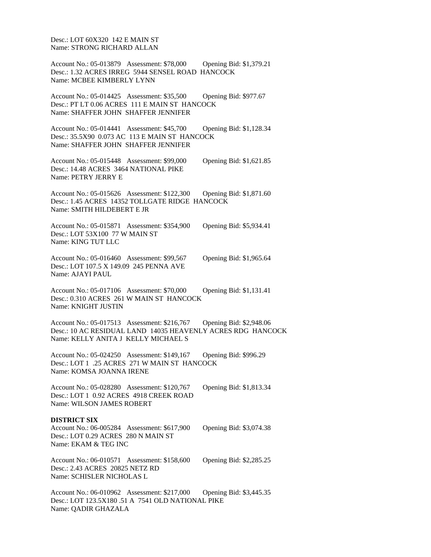Desc.: LOT 60X320 142 E MAIN ST Name: STRONG RICHARD ALLAN

Account No.: 05-013879 Assessment: \$78,000 Opening Bid: \$1,379.21 Desc.: 1.32 ACRES IRREG 5944 SENSEL ROAD HANCOCK Name: MCBEE KIMBERLY LYNN

Account No.: 05-014425 Assessment: \$35,500 Opening Bid: \$977.67 Desc.: PT LT 0.06 ACRES 111 E MAIN ST HANCOCK Name: SHAFFER JOHN SHAFFER JENNIFER

Account No.: 05-014441 Assessment: \$45,700 Opening Bid: \$1,128.34 Desc.: 35.5X90 0.073 AC 113 E MAIN ST HANCOCK Name: SHAFFER JOHN SHAFFER JENNIFER

Account No.: 05-015448 Assessment: \$99,000 Opening Bid: \$1,621.85 Desc.: 14.48 ACRES 3464 NATIONAL PIKE Name: PETRY JERRY E

Account No.: 05-015626 Assessment: \$122,300 Opening Bid: \$1,871.60 Desc.: 1.45 ACRES 14352 TOLLGATE RIDGE HANCOCK Name: SMITH HILDEBERT E JR

Account No.: 05-015871 Assessment: \$354,900 Opening Bid: \$5,934.41 Desc.: LOT 53X100 77 W MAIN ST Name: KING TUT LLC

Account No.: 05-016460 Assessment: \$99,567 Opening Bid: \$1,965.64 Desc.: LOT 107.5 X 149.09 245 PENNA AVE Name: AJAYI PAUL

Account No.: 05-017106 Assessment: \$70,000 Opening Bid: \$1,131.41 Desc.: 0.310 ACRES 261 W MAIN ST HANCOCK Name: KNIGHT JUSTIN

Account No.: 05-017513 Assessment: \$216,767 Opening Bid: \$2,948.06 Desc.: 10 AC RESIDUAL LAND 14035 HEAVENLY ACRES RDG HANCOCK Name: KELLY ANITA J KELLY MICHAEL S

Account No.: 05-024250 Assessment: \$149,167 Opening Bid: \$996.29 Desc.: LOT 1 .25 ACRES 271 W MAIN ST HANCOCK Name: KOMSA JOANNA IRENE

Account No.: 05-028280 Assessment: \$120,767 Opening Bid: \$1,813.34 Desc.: LOT 1 0.92 ACRES 4918 CREEK ROAD Name: WILSON JAMES ROBERT

### **DISTRICT SIX**

Account No.: 06-005284 Assessment: \$617,900 Opening Bid: \$3,074.38 Desc.: LOT 0.29 ACRES 280 N MAIN ST Name: EKAM & TEG INC

Account No.: 06-010571 Assessment: \$158,600 Opening Bid: \$2,285.25 Desc.: 2.43 ACRES 20825 NETZ RD Name: SCHISLER NICHOLAS L

Account No.: 06-010962 Assessment: \$217,000 Opening Bid: \$3,445.35 Desc.: LOT 123.5X180 .51 A 7541 OLD NATIONAL PIKE Name: QADIR GHAZALA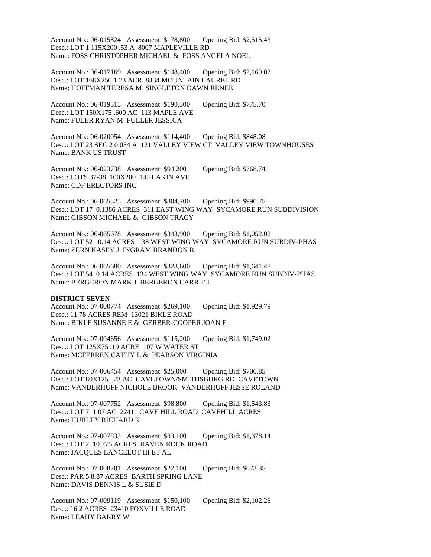Account No.: 06-015824 Assessment: \$178,800 Opening Bid: \$2,515.43 Desc.: LOT 1 115X200 .53 A 8007 MAPLEVILLE RD Name: FOSS CHRISTOPHER MICHAEL & FOSS ANGELA NOEL

Account No.: 06-017169 Assessment: \$148,400 Opening Bid: \$2,169.02 Desc.: LOT 168X250 1.23 ACR 8434 MOUNTAIN LAUREL RD Name: HOFFMAN TERESA M SINGLETON DAWN RENEE

Account No.: 06-019315 Assessment: \$190,300 Opening Bid: \$775.70 Desc.: LOT 150X175 .600 AC 113 MAPLE AVE Name: FULER RYAN M FULLER JESSICA

Account No.: 06-020054 Assessment: \$114,400 Opening Bid: \$848.08 Desc.: LOT 23 SEC 2 0.054 A 121 VALLEY VIEW CT VALLEY VIEW TOWNHOUSES Name: BANK US TRUST

Account No.: 06-023738 Assessment: \$94,200 Opening Bid: \$768.74 Desc.: LOTS 37-38 100X200 145 LAKIN AVE Name: CDF ERECTORS INC

Account No.: 06-065325 Assessment: \$304,700 Opening Bid: \$990.75 Desc.: LOT 17 0.1386 ACRES 311 EAST WING WAY SYCAMORE RUN SUBDIVISION Name: GIBSON MICHAEL & GIBSON TRACY

Account No.: 06-065678 Assessment: \$343,900 Opening Bid: \$1,052.02 Desc.: LOT 52 0.14 ACRES 138 WEST WING WAY SYCAMORE RUN SUBDIV-PHAS Name: ZERN KASEY J INGRAM BRANDON R

Account No.: 06-065680 Assessment: \$328,600 Opening Bid: \$1,641.48 Desc.: LOT 54 0.14 ACRES 134 WEST WING WAY SYCAMORE RUN SUBDIV-PHAS Name: BERGERON MARK J BERGERON CARRIE L

### **DISTRICT SEVEN**

Account No.: 07-000774 Assessment: \$269,100 Opening Bid: \$1,929.79 Desc.: 11.78 ACRES REM 13021 BIKLE ROAD Name: BIKLE SUSANNE E & GERBER-COOPER JOAN E

Account No.: 07-004656 Assessment: \$115,200 Opening Bid: \$1,749.02 Desc.: LOT 125X75 .19 ACRE 107 W WATER ST Name: MCFERREN CATHY L & PEARSON VIRGINIA

Account No.: 07-006454 Assessment: \$25,000 Opening Bid: \$706.85 Desc.: LOT 80X125 .23 AC CAVETOWN/SMITHSBURG RD CAVETOWN Name: VANDERHUFF NICHOLE BROOK VANDERHUFF JESSE ROLAND

Account No.: 07-007752 Assessment: \$98,800 Opening Bid: \$1,543.83 Desc.: LOT 7 1.07 AC 22411 CAVE HILL ROAD CAVEHILL ACRES Name: HURLEY RICHARD K

Account No.: 07-007833 Assessment: \$83,100 Opening Bid: \$1,378.14 Desc.: LOT 2 10.775 ACRES RAVEN ROCK ROAD Name: JACQUES LANCELOT III ET AL

Account No.: 07-008201 Assessment: \$22,100 Opening Bid: \$673.35 Desc.: PAR 5 8.87 ACRES BARTH SPRING LANE Name: DAVIS DENNIS L & SUSIE D

Account No.: 07-009119 Assessment: \$150,100 Opening Bid: \$2,102.26 Desc.: 16.2 ACRES 23410 FOXVILLE ROAD Name: LEAHY BARRY W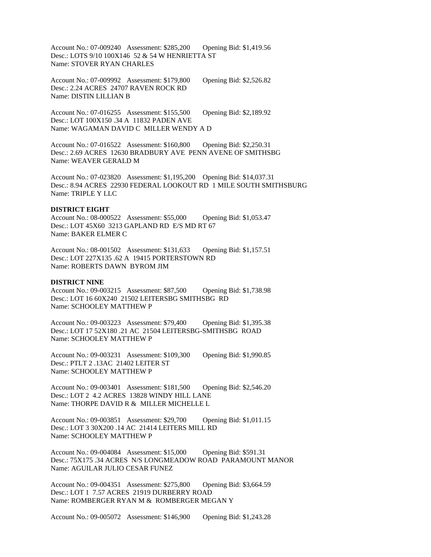Account No.: 07-009240 Assessment: \$285,200 Opening Bid: \$1,419.56 Desc.: LOTS 9/10 100X146 52 & 54 W HENRIETTA ST Name: STOVER RYAN CHARLES

Account No.: 07-009992 Assessment: \$179,800 Opening Bid: \$2,526.82 Desc.: 2.24 ACRES 24707 RAVEN ROCK RD Name: DISTIN LILLIAN B

Account No.: 07-016255 Assessment: \$155,500 Opening Bid: \$2,189.92 Desc.: LOT 100X150 .34 A 11832 PADEN AVE Name: WAGAMAN DAVID C MILLER WENDY A D

Account No.: 07-016522 Assessment: \$160,800 Opening Bid: \$2,250.31 Desc.: 2.69 ACRES 12630 BRADBURY AVE PENN AVENE OF SMITHSBG Name: WEAVER GERALD M

Account No.: 07-023820 Assessment: \$1,195,200 Opening Bid: \$14,037.31 Desc.: 8.94 ACRES 22930 FEDERAL LOOKOUT RD 1 MILE SOUTH SMITHSBURG Name: TRIPLE Y LLC

### **DISTRICT EIGHT**

Account No.: 08-000522 Assessment: \$55,000 Opening Bid: \$1,053.47 Desc.: LOT 45X60 3213 GAPLAND RD E/S MD RT 67 Name: BAKER ELMER C

Account No.: 08-001502 Assessment: \$131,633 Opening Bid: \$1,157.51 Desc.: LOT 227X135 .62 A 19415 PORTERSTOWN RD Name: ROBERTS DAWN BYROM JIM

### **DISTRICT NINE**

Account No.: 09-003215 Assessment: \$87,500 Opening Bid: \$1,738.98 Desc.: LOT 16 60X240 21502 LEITERSBG SMITHSBG RD Name: SCHOOLEY MATTHEW P

Account No.: 09-003223 Assessment: \$79,400 Opening Bid: \$1,395.38 Desc.: LOT 17 52X180 .21 AC 21504 LEITERSBG-SMITHSBG ROAD Name: SCHOOLEY MATTHEW P

Account No.: 09-003231 Assessment: \$109,300 Opening Bid: \$1,990.85 Desc.: PTLT 2 .13AC 21402 LEITER ST Name: SCHOOLEY MATTHEW P

Account No.: 09-003401 Assessment: \$181,500 Opening Bid: \$2,546.20 Desc.: LOT 2 4.2 ACRES 13828 WINDY HILL LANE Name: THORPE DAVID R & MILLER MICHELLE L

Account No.: 09-003851 Assessment: \$29,700 Opening Bid: \$1,011.15 Desc.: LOT 3 30X200 .14 AC 21414 LEITERS MILL RD Name: SCHOOLEY MATTHEW P

Account No.: 09-004084 Assessment: \$15,000 Opening Bid: \$591.31 Desc.: 75X175 .34 ACRES N/S LONGMEADOW ROAD PARAMOUNT MANOR Name: AGUILAR JULIO CESAR FUNEZ

Account No.: 09-004351 Assessment: \$275,800 Opening Bid: \$3,664.59 Desc.: LOT 1 7.57 ACRES 21919 DURBERRY ROAD Name: ROMBERGER RYAN M & ROMBERGER MEGAN Y

Account No.: 09-005072 Assessment: \$146,900 Opening Bid: \$1,243.28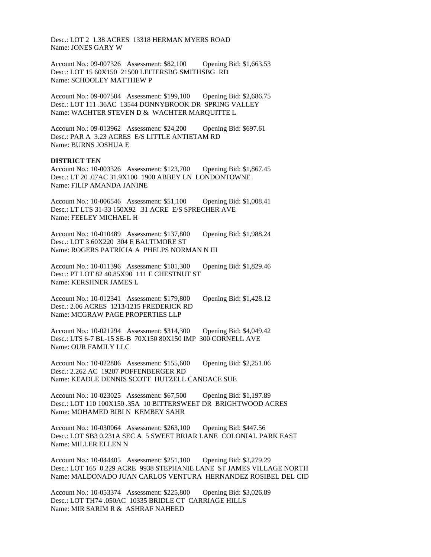Desc.: LOT 2 1.38 ACRES 13318 HERMAN MYERS ROAD Name: JONES GARY W

Account No.: 09-007326 Assessment: \$82,100 Opening Bid: \$1,663.53 Desc.: LOT 15 60X150 21500 LEITERSBG SMITHSBG RD Name: SCHOOLEY MATTHEW P

Account No.: 09-007504 Assessment: \$199,100 Opening Bid: \$2,686.75 Desc.: LOT 111 .36AC 13544 DONNYBROOK DR SPRING VALLEY Name: WACHTER STEVEN D & WACHTER MARQUITTE L

Account No.: 09-013962 Assessment: \$24,200 Opening Bid: \$697.61 Desc.: PAR A 3.23 ACRES E/S LITTLE ANTIETAM RD Name: BURNS JOSHUA E

### **DISTRICT TEN**

Account No.: 10-003326 Assessment: \$123,700 Opening Bid: \$1,867.45 Desc.: LT 20 .07AC 31.9X100 1900 ABBEY LN LONDONTOWNE Name: FILIP AMANDA JANINE

Account No.: 10-006546 Assessment: \$51,100 Opening Bid: \$1,008.41 Desc.: LT LTS 31-33 150X92 .31 ACRE E/S SPRECHER AVE Name: FEELEY MICHAEL H

Account No.: 10-010489 Assessment: \$137,800 Opening Bid: \$1,988.24 Desc.: LOT 3 60X220 304 E BALTIMORE ST Name: ROGERS PATRICIA A PHELPS NORMAN N III

Account No.: 10-011396 Assessment: \$101,300 Opening Bid: \$1,829.46 Desc.: PT LOT 82 40.85X90 111 E CHESTNUT ST Name: KERSHNER JAMES L

Account No.: 10-012341 Assessment: \$179,800 Opening Bid: \$1,428.12 Desc.: 2.06 ACRES 1213/1215 FREDERICK RD Name: MCGRAW PAGE PROPERTIES LLP

Account No.: 10-021294 Assessment: \$314,300 Opening Bid: \$4,049.42 Desc.: LTS 6-7 BL-15 SE-B 70X150 80X150 IMP 300 CORNELL AVE Name: OUR FAMILY LLC

Account No.: 10-022886 Assessment: \$155,600 Opening Bid: \$2,251.06 Desc.: 2.262 AC 19207 POFFENBERGER RD Name: KEADLE DENNIS SCOTT HUTZELL CANDACE SUE

Account No.: 10-023025 Assessment: \$67,500 Opening Bid: \$1,197.89 Desc.: LOT 110 100X150 .35A 10 BITTERSWEET DR BRIGHTWOOD ACRES Name: MOHAMED BIBI N KEMBEY SAHR

Account No.: 10-030064 Assessment: \$263,100 Opening Bid: \$447.56 Desc.: LOT SB3 0.231A SEC A 5 SWEET BRIAR LANE COLONIAL PARK EAST Name: MILLER ELLEN N

Account No.: 10-044405 Assessment: \$251,100 Opening Bid: \$3,279.29 Desc.: LOT 165 0.229 ACRE 9938 STEPHANIE LANE ST JAMES VILLAGE NORTH Name: MALDONADO JUAN CARLOS VENTURA HERNANDEZ ROSIBEL DEL CID

Account No.: 10-053374 Assessment: \$225,800 Opening Bid: \$3,026.89 Desc.: LOT TH74 .050AC 10335 BRIDLE CT CARRIAGE HILLS Name: MIR SARIM R & ASHRAF NAHEED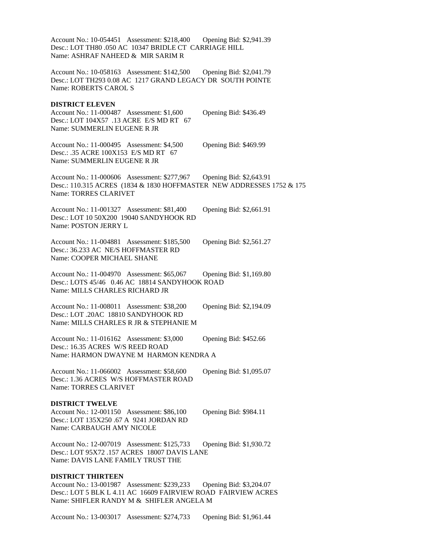Account No.: 10-054451 Assessment: \$218,400 Opening Bid: \$2,941.39 Desc.: LOT TH80 .050 AC 10347 BRIDLE CT CARRIAGE HILL Name: ASHRAF NAHEED & MIR SARIM R

Account No.: 10-058163 Assessment: \$142,500 Opening Bid: \$2,041.79 Desc.: LOT TH293 0.08 AC 1217 GRAND LEGACY DR SOUTH POINTE Name: ROBERTS CAROL S

### **DISTRICT ELEVEN**

Account No.: 11-000487 Assessment: \$1,600 Opening Bid: \$436.49 Desc.: LOT 104X57 .13 ACRE E/S MD RT 67 Name: SUMMERLIN EUGENE R JR

Account No.: 11-000495 Assessment: \$4,500 Opening Bid: \$469.99 Desc.: .35 ACRE 100X153 E/S MD RT 67 Name: SUMMERLIN EUGENE R JR

Account No.: 11-000606 Assessment: \$277,967 Opening Bid: \$2,643.91 Desc.: 110.315 ACRES (1834 & 1830 HOFFMASTER NEW ADDRESSES 1752 & 175 Name: TORRES CLARIVET

Account No.: 11-001327 Assessment: \$81,400 Opening Bid: \$2,661.91 Desc.: LOT 10 50X200 19040 SANDYHOOK RD Name: POSTON JERRY L

Account No.: 11-004881 Assessment: \$185,500 Opening Bid: \$2,561.27 Desc.: 36.233 AC NE/S HOFFMASTER RD Name: COOPER MICHAEL SHANE

Account No.: 11-004970 Assessment: \$65,067 Opening Bid: \$1,169.80 Desc.: LOTS 45/46 0.46 AC 18814 SANDYHOOK ROAD Name: MILLS CHARLES RICHARD JR

Account No.: 11-008011 Assessment: \$38,200 Opening Bid: \$2,194.09 Desc.: LOT .20AC 18810 SANDYHOOK RD Name: MILLS CHARLES R JR & STEPHANIE M

Account No.: 11-016162 Assessment: \$3,000 Opening Bid: \$452.66 Desc.: 16.35 ACRES W/S REED ROAD Name: HARMON DWAYNE M HARMON KENDRA A

Account No.: 11-066002 Assessment: \$58,600 Opening Bid: \$1,095.07 Desc.: 1.36 ACRES W/S HOFFMASTER ROAD Name: TORRES CLARIVET

### **DISTRICT TWELVE**

Account No.: 12-001150 Assessment: \$86,100 Opening Bid: \$984.11 Desc.: LOT 135X250 .67 A 9241 JORDAN RD Name: CARBAUGH AMY NICOLE

Account No.: 12-007019 Assessment: \$125,733 Opening Bid: \$1,930.72 Desc.: LOT 95X72 .157 ACRES 18007 DAVIS LANE Name: DAVIS LANE FAMILY TRUST THE

#### **DISTRICT THIRTEEN**

Account No.: 13-001987 Assessment: \$239,233 Opening Bid: \$3,204.07 Desc.: LOT 5 BLK L 4.11 AC 16609 FAIRVIEW ROAD FAIRVIEW ACRES Name: SHIFLER RANDY M & SHIFLER ANGELA M

Account No.: 13-003017 Assessment: \$274,733 Opening Bid: \$1,961.44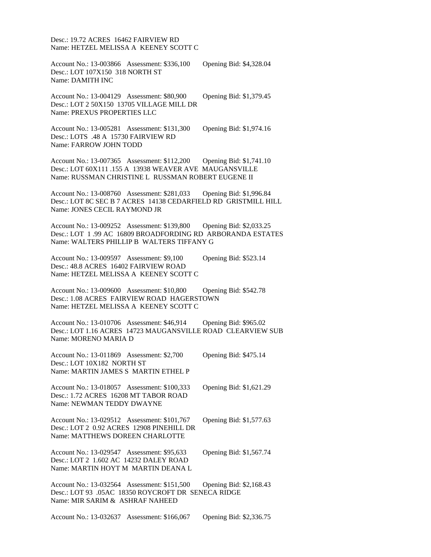Desc.: 19.72 ACRES 16462 FAIRVIEW RD Name: HETZEL MELISSA A KEENEY SCOTT C

Account No.: 13-003866 Assessment: \$336,100 Opening Bid: \$4,328.04 Desc.: LOT 107X150 318 NORTH ST Name: DAMITH INC

Account No.: 13-004129 Assessment: \$80,900 Opening Bid: \$1,379.45 Desc.: LOT 2 50X150 13705 VILLAGE MILL DR Name: PREXUS PROPERTIES LLC

Account No.: 13-005281 Assessment: \$131,300 Opening Bid: \$1,974.16 Desc.: LOTS .48 A 15730 FAIRVIEW RD Name: FARROW JOHN TODD

Account No.: 13-007365 Assessment: \$112,200 Opening Bid: \$1,741.10 Desc.: LOT 60X111 .155 A 13938 WEAVER AVE MAUGANSVILLE Name: RUSSMAN CHRISTINE L RUSSMAN ROBERT EUGENE II

Account No.: 13-008760 Assessment: \$281,033 Opening Bid: \$1,996.84 Desc.: LOT 8C SEC B 7 ACRES 14138 CEDARFIELD RD GRISTMILL HILL Name: JONES CECIL RAYMOND JR

Account No.: 13-009252 Assessment: \$139,800 Opening Bid: \$2,033.25 Desc.: LOT 1 .99 AC 16809 BROADFORDING RD ARBORANDA ESTATES Name: WALTERS PHILLIP B WALTERS TIFFANY G

Account No.: 13-009597 Assessment: \$9,100 Opening Bid: \$523.14 Desc.: 48.8 ACRES 16402 FAIRVIEW ROAD Name: HETZEL MELISSA A KEENEY SCOTT C

Account No.: 13-009600 Assessment: \$10,800 Opening Bid: \$542.78 Desc.: 1.08 ACRES FAIRVIEW ROAD HAGERSTOWN Name: HETZEL MELISSA A KEENEY SCOTT C

Account No.: 13-010706 Assessment: \$46,914 Opening Bid: \$965.02 Desc.: LOT 1.16 ACRES 14723 MAUGANSVILLE ROAD CLEARVIEW SUB Name: MORENO MARIA D

Account No.: 13-011869 Assessment: \$2,700 Opening Bid: \$475.14 Desc.: LOT 10X182 NORTH ST Name: MARTIN JAMES S MARTIN ETHEL P

Account No.: 13-018057 Assessment: \$100,333 Opening Bid: \$1,621.29 Desc.: 1.72 ACRES 16208 MT TABOR ROAD Name: NEWMAN TEDDY DWAYNE

Account No.: 13-029512 Assessment: \$101,767 Opening Bid: \$1,577.63 Desc.: LOT 2 0.92 ACRES 12908 PINEHILL DR Name: MATTHEWS DOREEN CHARLOTTE

Account No.: 13-029547 Assessment: \$95,633 Opening Bid: \$1,567.74 Desc.: LOT 2 1.602 AC 14232 DALEY ROAD Name: MARTIN HOYT M MARTIN DEANA L

Account No.: 13-032564 Assessment: \$151,500 Opening Bid: \$2,168.43 Desc.: LOT 93 .05AC 18350 ROYCROFT DR SENECA RIDGE Name: MIR SARIM & ASHRAF NAHEED

Account No.: 13-032637 Assessment: \$166,067 Opening Bid: \$2,336.75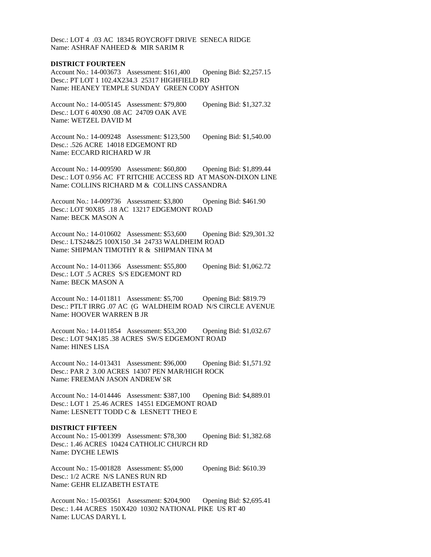Desc.: LOT 4 .03 AC 18345 ROYCROFT DRIVE SENECA RIDGE Name: ASHRAF NAHEED & MIR SARIM R

### **DISTRICT FOURTEEN**

Account No.: 14-003673 Assessment: \$161,400 Opening Bid: \$2,257.15 Desc.: PT LOT 1 102.4X234.3 25317 HIGHFIELD RD Name: HEANEY TEMPLE SUNDAY GREEN CODY ASHTON

Account No.: 14-005145 Assessment: \$79,800 Opening Bid: \$1,327.32 Desc.: LOT 6 40X90 .08 AC 24709 OAK AVE Name: WETZEL DAVID M

Account No.: 14-009248 Assessment: \$123,500 Opening Bid: \$1,540.00 Desc.: .526 ACRE 14018 EDGEMONT RD Name: ECCARD RICHARD W JR

Account No.: 14-009590 Assessment: \$60,800 Opening Bid: \$1,899.44 Desc.: LOT 0.956 AC FT RITCHIE ACCESS RD AT MASON-DIXON LINE Name: COLLINS RICHARD M & COLLINS CASSANDRA

Account No.: 14-009736 Assessment: \$3,800 Opening Bid: \$461.90 Desc.: LOT 90X85 .18 AC 13217 EDGEMONT ROAD Name: BECK MASON A

Account No.: 14-010602 Assessment: \$53,600 Opening Bid: \$29,301.32 Desc.: LTS24&25 100X150 .34 24733 WALDHEIM ROAD Name: SHIPMAN TIMOTHY R & SHIPMAN TINA M

Account No.: 14-011366 Assessment: \$55,800 Opening Bid: \$1,062.72 Desc.: LOT .5 ACRES S/S EDGEMONT RD Name: BECK MASON A

Account No.: 14-011811 Assessment: \$5,700 Opening Bid: \$819.79 Desc.: PTLT IRRG .07 AC (G WALDHEIM ROAD N/S CIRCLE AVENUE Name: HOOVER WARREN B JR

Account No.: 14-011854 Assessment: \$53,200 Opening Bid: \$1,032.67 Desc.: LOT 94X185 .38 ACRES SW/S EDGEMONT ROAD Name: HINES LISA

Account No.: 14-013431 Assessment: \$96,000 Opening Bid: \$1,571.92 Desc.: PAR 2 3.00 ACRES 14307 PEN MAR/HIGH ROCK Name: FREEMAN JASON ANDREW SR

Account No.: 14-014446 Assessment: \$387,100 Opening Bid: \$4,889.01 Desc.: LOT 1 25.46 ACRES 14551 EDGEMONT ROAD Name: LESNETT TODD C & LESNETT THEO E

### **DISTRICT FIFTEEN**

Account No.: 15-001399 Assessment: \$78,300 Opening Bid: \$1,382.68 Desc.: 1.46 ACRES 10424 CATHOLIC CHURCH RD Name: DYCHE LEWIS

Account No.: 15-001828 Assessment: \$5,000 Opening Bid: \$610.39 Desc.: 1/2 ACRE N/S LANES RUN RD Name: GEHR ELIZABETH ESTATE

Account No.: 15-003561 Assessment: \$204,900 Opening Bid: \$2,695.41 Desc.: 1.44 ACRES 150X420 10302 NATIONAL PIKE US RT 40 Name: LUCAS DARYL L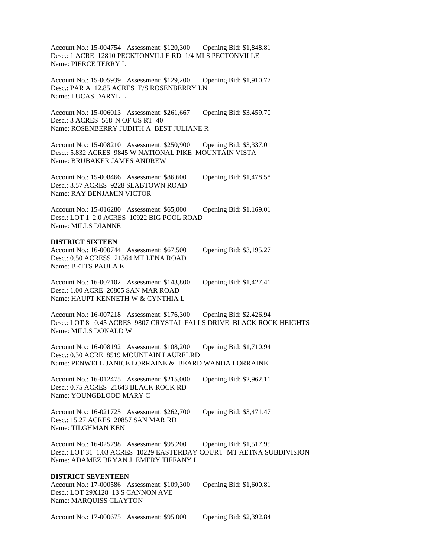Account No.: 15-004754 Assessment: \$120,300 Opening Bid: \$1,848.81 Desc.: 1 ACRE 12810 PECKTONVILLE RD 1/4 MI S PECTONVILLE Name: PIERCE TERRY L

Account No.: 15-005939 Assessment: \$129,200 Opening Bid: \$1,910.77 Desc.: PAR A 12.85 ACRES E/S ROSENBERRY LN Name: LUCAS DARYL L

Account No.: 15-006013 Assessment: \$261,667 Opening Bid: \$3,459.70 Desc.: 3 ACRES 568' N OF US RT 40 Name: ROSENBERRY JUDITH A BEST JULIANE R

Account No.: 15-008210 Assessment: \$250,900 Opening Bid: \$3,337.01 Desc.: 5.832 ACRES 9845 W NATIONAL PIKE MOUNTAIN VISTA Name: BRUBAKER JAMES ANDREW

Account No.: 15-008466 Assessment: \$86,600 Opening Bid: \$1,478.58 Desc.: 3.57 ACRES 9228 SLABTOWN ROAD Name: RAY BENJAMIN VICTOR

Account No.: 15-016280 Assessment: \$65,000 Opening Bid: \$1,169.01 Desc.: LOT 1 2.0 ACRES 10922 BIG POOL ROAD Name: MILLS DIANNE

### **DISTRICT SIXTEEN**

Account No.: 16-000744 Assessment: \$67,500 Opening Bid: \$3,195.27 Desc.: 0.50 ACRESS 21364 MT LENA ROAD Name: BETTS PAULA K

Account No.: 16-007102 Assessment: \$143,800 Opening Bid: \$1,427.41 Desc.: 1.00 ACRE 20805 SAN MAR ROAD Name: HAUPT KENNETH W & CYNTHIA L

Account No.: 16-007218 Assessment: \$176,300 Opening Bid: \$2,426.94 Desc.: LOT 8 0.45 ACRES 9807 CRYSTAL FALLS DRIVE BLACK ROCK HEIGHTS Name: MILLS DONALD W

Account No.: 16-008192 Assessment: \$108,200 Opening Bid: \$1,710.94 Desc.: 0.30 ACRE 8519 MOUNTAIN LAURELRD Name: PENWELL JANICE LORRAINE & BEARD WANDA LORRAINE

Account No.: 16-012475 Assessment: \$215,000 Opening Bid: \$2,962.11 Desc.: 0.75 ACRES 21643 BLACK ROCK RD Name: YOUNGBLOOD MARY C

Account No.: 16-021725 Assessment: \$262,700 Opening Bid: \$3,471.47 Desc.: 15.27 ACRES 20857 SAN MAR RD Name: TILGHMAN KEN

Account No.: 16-025798 Assessment: \$95,200 Opening Bid: \$1,517.95 Desc.: LOT 31 1.03 ACRES 10229 EASTERDAY COURT MT AETNA SUBDIVISION Name: ADAMEZ BRYAN J EMERY TIFFANY L

# **DISTRICT SEVENTEEN**

Account No.: 17-000586 Assessment: \$109,300 Opening Bid: \$1,600.81 Desc.: LOT 29X128 13 S CANNON AVE Name: MARQUISS CLAYTON

Account No.: 17-000675 Assessment: \$95,000 Opening Bid: \$2,392.84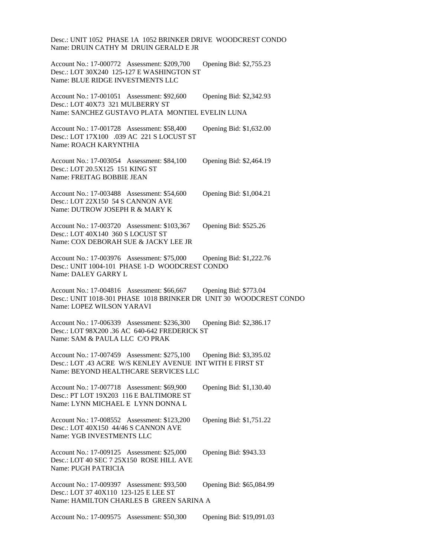Desc.: UNIT 1052 PHASE 1A 1052 BRINKER DRIVE WOODCREST CONDO Name: DRUIN CATHY M DRUIN GERALD E JR

Account No.: 17-000772 Assessment: \$209,700 Opening Bid: \$2,755.23 Desc.: LOT 30X240 125-127 E WASHINGTON ST Name: BLUE RIDGE INVESTMENTS LLC

Account No.: 17-001051 Assessment: \$92,600 Opening Bid: \$2,342.93 Desc.: LOT 40X73 321 MULBERRY ST Name: SANCHEZ GUSTAVO PLATA MONTIEL EVELIN LUNA

Account No.: 17-001728 Assessment: \$58,400 Opening Bid: \$1,632.00 Desc.: LOT 17X100 .039 AC 221 S LOCUST ST Name: ROACH KARYNTHIA

Account No.: 17-003054 Assessment: \$84,100 Opening Bid: \$2,464.19 Desc.: LOT 20.5X125 151 KING ST Name: FREITAG BOBBIE JEAN

Account No.: 17-003488 Assessment: \$54,600 Opening Bid: \$1,004.21 Desc.: LOT 22X150 54 S CANNON AVE Name: DUTROW JOSEPH R & MARY K

Account No.: 17-003720 Assessment: \$103,367 Opening Bid: \$525.26 Desc.: LOT 40X140 360 S LOCUST ST Name: COX DEBORAH SUE & JACKY LEE JR

Account No.: 17-003976 Assessment: \$75,000 Opening Bid: \$1,222.76 Desc.: UNIT 1004-101 PHASE 1-D WOODCREST CONDO Name: DALEY GARRY L

Account No.: 17-004816 Assessment: \$66,667 Opening Bid: \$773.04 Desc.: UNIT 1018-301 PHASE 1018 BRINKER DR UNIT 30 WOODCREST CONDO Name: LOPEZ WILSON YARAVI

Account No.: 17-006339 Assessment: \$236,300 Opening Bid: \$2,386.17 Desc.: LOT 98X200 .36 AC 640-642 FREDERICK ST Name: SAM & PAULA LLC C/O PRAK

Account No.: 17-007459 Assessment: \$275,100 Opening Bid: \$3,395.02 Desc.: LOT .43 ACRE W/S KENLEY AVENUE INT WITH E FIRST ST Name: BEYOND HEALTHCARE SERVICES LLC

| Account No.: 17-007718 Assessment: \$69,900  | Opening Bid: \$1,130.40 |
|----------------------------------------------|-------------------------|
| Desc.: PT LOT 19X203 116 E BALTIMORE ST      |                         |
| Name: LYNN MICHAEL E LYNN DONNA L            |                         |
|                                              |                         |
| Account No.: 17-008552 Assessment: \$123,200 | Opening Bid: \$1,751.22 |
| Desc.: LOT $40X150$ $44/46$ S CANNON AVE     |                         |
| Name: YGB INVESTMENTS LLC                    |                         |

Account No.: 17-009125 Assessment: \$25,000 Opening Bid: \$943.33 Desc.: LOT 40 SEC 7 25X150 ROSE HILL AVE Name: PUGH PATRICIA

Account No.: 17-009397 Assessment: \$93,500 Opening Bid: \$65,084.99 Desc.: LOT 37 40X110 123-125 E LEE ST Name: HAMILTON CHARLES B GREEN SARINA A

Account No.: 17-009575 Assessment: \$50,300 Opening Bid: \$19,091.03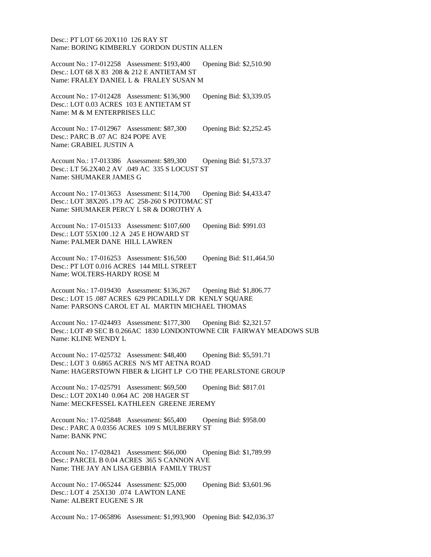Desc.: PT LOT 66 20X110 126 RAY ST Name: BORING KIMBERLY GORDON DUSTIN ALLEN

Account No.: 17-012258 Assessment: \$193,400 Opening Bid: \$2,510.90 Desc.: LOT 68 X 83 208 & 212 E ANTIETAM ST Name: FRALEY DANIEL L & FRALEY SUSAN M

Account No.: 17-012428 Assessment: \$136,900 Opening Bid: \$3,339.05 Desc.: LOT 0.03 ACRES 103 E ANTIETAM ST Name: M & M ENTERPRISES LLC

Account No.: 17-012967 Assessment: \$87,300 Opening Bid: \$2,252.45 Desc.: PARC B .07 AC 824 POPE AVE Name: GRABIEL JUSTIN A

Account No.: 17-013386 Assessment: \$89,300 Opening Bid: \$1,573.37 Desc.: LT 56.2X40.2 AV .049 AC 335 S LOCUST ST Name: SHUMAKER JAMES G

Account No.: 17-013653 Assessment: \$114,700 Opening Bid: \$4,433.47 Desc.: LOT 38X205 .179 AC 258-260 S POTOMAC ST Name: SHUMAKER PERCY L SR & DOROTHY A

Account No.: 17-015133 Assessment: \$107,600 Opening Bid: \$991.03 Desc.: LOT 55X100 .12 A 245 E HOWARD ST Name: PALMER DANE HILL LAWREN

Account No.: 17-016253 Assessment: \$16,500 Opening Bid: \$11,464.50 Desc.: PT LOT 0.016 ACRES 144 MILL STREET Name: WOLTERS-HARDY ROSE M

Account No.: 17-019430 Assessment: \$136,267 Opening Bid: \$1,806.77 Desc.: LOT 15 .087 ACRES 629 PICADILLY DR KENLY SQUARE Name: PARSONS CAROL ET AL MARTIN MICHAEL THOMAS

Account No.: 17-024493 Assessment: \$177,300 Opening Bid: \$2,321.57 Desc.: LOT 49 SEC B 0.266AC 1830 LONDONTOWNE CIR FAIRWAY MEADOWS SUB Name: KLINE WENDY L

Account No.: 17-025732 Assessment: \$48,400 Opening Bid: \$5,591.71 Desc.: LOT 3 0.6865 ACRES N/S MT AETNA ROAD Name: HAGERSTOWN FIBER & LIGHT LP C/O THE PEARLSTONE GROUP

Account No.: 17-025791 Assessment: \$69,500 Opening Bid: \$817.01 Desc.: LOT 20X140 0.064 AC 208 HAGER ST Name: MECKFESSEL KATHLEEN GREENE JEREMY

Account No.: 17-025848 Assessment: \$65,400 Opening Bid: \$958.00 Desc.: PARC A 0.0356 ACRES 109 S MULBERRY ST Name: BANK PNC

Account No.: 17-028421 Assessment: \$66,000 Opening Bid: \$1,789.99 Desc.: PARCEL B 0.04 ACRES 365 S CANNON AVE Name: THE JAY AN LISA GEBBIA FAMILY TRUST

Account No.: 17-065244 Assessment: \$25,000 Opening Bid: \$3,601.96 Desc.: LOT 4 25X130 .074 LAWTON LANE Name: ALBERT EUGENE S JR

Account No.: 17-065896 Assessment: \$1,993,900 Opening Bid: \$42,036.37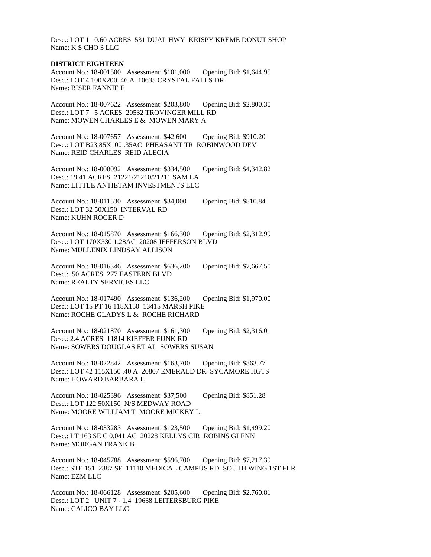Desc.: LOT 1 0.60 ACRES 531 DUAL HWY KRISPY KREME DONUT SHOP Name: K S CHO 3 LLC

### **DISTRICT EIGHTEEN**

Account No.: 18-001500 Assessment: \$101,000 Opening Bid: \$1,644.95 Desc.: LOT 4 100X200 .46 A 10635 CRYSTAL FALLS DR Name: BISER FANNIE E

Account No.: 18-007622 Assessment: \$203,800 Opening Bid: \$2,800.30 Desc.: LOT 7 5 ACRES 20532 TROVINGER MILL RD Name: MOWEN CHARLES E & MOWEN MARY A

Account No.: 18-007657 Assessment: \$42,600 Opening Bid: \$910.20 Desc.: LOT B23 85X100 .35AC PHEASANT TR ROBINWOOD DEV Name: REID CHARLES REID ALECIA

Account No.: 18-008092 Assessment: \$334,500 Opening Bid: \$4,342.82 Desc.: 19.41 ACRES 21221/21210/21211 SAM LA Name: LITTLE ANTIETAM INVESTMENTS LLC

Account No.: 18-011530 Assessment: \$34,000 Opening Bid: \$810.84 Desc.: LOT 32 50X150 INTERVAL RD Name: KUHN ROGER D

Account No.: 18-015870 Assessment: \$166,300 Opening Bid: \$2,312.99 Desc.: LOT 170X330 1.28AC 20208 JEFFERSON BLVD Name: MULLENIX LINDSAY ALLISON

Account No.: 18-016346 Assessment: \$636,200 Opening Bid: \$7,667.50 Desc.: .50 ACRES 277 EASTERN BLVD Name: REALTY SERVICES LLC

Account No.: 18-017490 Assessment: \$136,200 Opening Bid: \$1,970.00 Desc.: LOT 15 PT 16 118X150 13415 MARSH PIKE Name: ROCHE GLADYS L & ROCHE RICHARD

Account No.: 18-021870 Assessment: \$161,300 Opening Bid: \$2,316.01 Desc.: 2.4 ACRES 11814 KIEFFER FUNK RD Name: SOWERS DOUGLAS ET AL SOWERS SUSAN

Account No.: 18-022842 Assessment: \$163,700 Opening Bid: \$863.77 Desc.: LOT 42 115X150 .40 A 20807 EMERALD DR SYCAMORE HGTS Name: HOWARD BARBARA L

Account No.: 18-025396 Assessment: \$37,500 Opening Bid: \$851.28 Desc.: LOT 122 50X150 N/S MEDWAY ROAD Name: MOORE WILLIAM T MOORE MICKEY L

Account No.: 18-033283 Assessment: \$123,500 Opening Bid: \$1,499.20 Desc.: LT 163 SE C 0.041 AC 20228 KELLYS CIR ROBINS GLENN Name: MORGAN FRANK B

Account No.: 18-045788 Assessment: \$596,700 Opening Bid: \$7,217.39 Desc.: STE 151 2387 SF 11110 MEDICAL CAMPUS RD SOUTH WING 1ST FLR Name: EZM LLC

Account No.: 18-066128 Assessment: \$205,600 Opening Bid: \$2,760.81 Desc.: LOT 2 UNIT 7 - 1,4 19638 LEITERSBURG PIKE Name: CALICO BAY LLC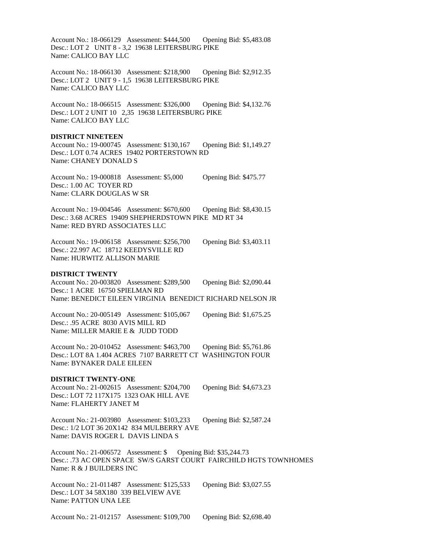Account No.: 18-066129 Assessment: \$444,500 Opening Bid: \$5,483.08 Desc.: LOT 2 UNIT 8 - 3,2 19638 LEITERSBURG PIKE Name: CALICO BAY LLC

Account No.: 18-066130 Assessment: \$218,900 Opening Bid: \$2,912.35 Desc.: LOT 2 UNIT 9 - 1,5 19638 LEITERSBURG PIKE Name: CALICO BAY LLC

Account No.: 18-066515 Assessment: \$326,000 Opening Bid: \$4,132.76 Desc.: LOT 2 UNIT 10 2,35 19638 LEITERSBURG PIKE Name: CALICO BAY LLC

### **DISTRICT NINETEEN**

Account No.: 19-000745 Assessment: \$130,167 Opening Bid: \$1,149.27 Desc.: LOT 0.74 ACRES 19402 PORTERSTOWN RD Name: CHANEY DONALD S

Account No.: 19-000818 Assessment: \$5,000 Opening Bid: \$475.77 Desc.: 1.00 AC TOYER RD Name: CLARK DOUGLAS W SR

Account No.: 19-004546 Assessment: \$670,600 Opening Bid: \$8,430.15 Desc.: 3.68 ACRES 19409 SHEPHERDSTOWN PIKE MD RT 34 Name: RED BYRD ASSOCIATES LLC

Account No.: 19-006158 Assessment: \$256,700 Opening Bid: \$3,403.11 Desc.: 22.997 AC 18712 KEEDYSVILLE RD Name: HURWITZ ALLISON MARIE

### **DISTRICT TWENTY**

Account No.: 20-003820 Assessment: \$289,500 Opening Bid: \$2,090.44 Desc.: 1 ACRE 16750 SPIELMAN RD Name: BENEDICT EILEEN VIRGINIA BENEDICT RICHARD NELSON JR

Account No.: 20-005149 Assessment: \$105,067 Opening Bid: \$1,675.25 Desc.: .95 ACRE 8030 AVIS MILL RD Name: MILLER MARIE E & JUDD TODD

Account No.: 20-010452 Assessment: \$463,700 Opening Bid: \$5,761.86 Desc.: LOT 8A 1.404 ACRES 7107 BARRETT CT WASHINGTON FOUR Name: BYNAKER DALE EILEEN

### **DISTRICT TWENTY-ONE**

Account No.: 21-002615 Assessment: \$204,700 Opening Bid: \$4,673.23 Desc.: LOT 72 117X175 1323 OAK HILL AVE Name: FLAHERTY JANET M

Account No.: 21-003980 Assessment: \$103,233 Opening Bid: \$2,587.24 Desc.: 1/2 LOT 36 20X142 834 MULBERRY AVE Name: DAVIS ROGER L DAVIS LINDA S

Account No.: 21-006572 Assessment: \$ Opening Bid: \$35,244.73 Desc.: .73 AC OPEN SPACE SW/S GARST COURT FAIRCHILD HGTS TOWNHOMES Name: R & J BUILDERS INC

Account No.: 21-011487 Assessment: \$125,533 Opening Bid: \$3,027.55 Desc.: LOT 34 58X180 339 BELVIEW AVE Name: PATTON UNA LEE

Account No.: 21-012157 Assessment: \$109,700 Opening Bid: \$2,698.40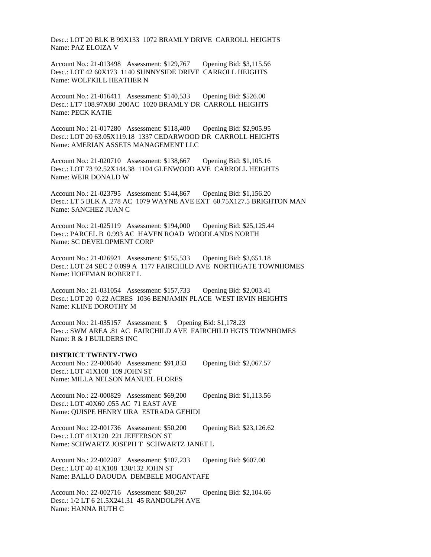Desc.: LOT 20 BLK B 99X133 1072 BRAMLY DRIVE CARROLL HEIGHTS Name: PAZ ELOIZA V

Account No.: 21-013498 Assessment: \$129,767 Opening Bid: \$3,115.56 Desc.: LOT 42 60X173 1140 SUNNYSIDE DRIVE CARROLL HEIGHTS Name: WOLFKILL HEATHER N

Account No.: 21-016411 Assessment: \$140,533 Opening Bid: \$526.00 Desc.: LT7 108.97X80 .200AC 1020 BRAMLY DR CARROLL HEIGHTS Name: PECK KATIE

Account No.: 21-017280 Assessment: \$118,400 Opening Bid: \$2,905.95 Desc.: LOT 20 63.05X119.18 1337 CEDARWOOD DR CARROLL HEIGHTS Name: AMERIAN ASSETS MANAGEMENT LLC

Account No.: 21-020710 Assessment: \$138,667 Opening Bid: \$1,105.16 Desc.: LOT 73 92.52X144.38 1104 GLENWOOD AVE CARROLL HEIGHTS Name: WEIR DONALD W

Account No.: 21-023795 Assessment: \$144,867 Opening Bid: \$1,156.20 Desc.: LT 5 BLK A .278 AC 1079 WAYNE AVE EXT 60.75X127.5 BRIGHTON MAN Name: SANCHEZ JUAN C

Account No.: 21-025119 Assessment: \$194,000 Opening Bid: \$25,125.44 Desc.: PARCEL B 0.993 AC HAVEN ROAD WOODLANDS NORTH Name: SC DEVELOPMENT CORP

Account No.: 21-026921 Assessment: \$155,533 Opening Bid: \$3,651.18 Desc.: LOT 24 SEC 2 0.099 A 1177 FAIRCHILD AVE NORTHGATE TOWNHOMES Name: HOFFMAN ROBERT L

Account No.: 21-031054 Assessment: \$157,733 Opening Bid: \$2,003.41 Desc.: LOT 20 0.22 ACRES 1036 BENJAMIN PLACE WEST IRVIN HEIGHTS Name: KLINE DOROTHY M

Account No.: 21-035157 Assessment: \$ Opening Bid: \$1,178.23 Desc.: SWM AREA .81 AC FAIRCHILD AVE FAIRCHILD HGTS TOWNHOMES Name: R & J BUILDERS INC

### **DISTRICT TWENTY-TWO**

Account No.: 22-000640 Assessment: \$91,833 Opening Bid: \$2,067.57 Desc.: LOT 41X108 109 JOHN ST Name: MILLA NELSON MANUEL FLORES

Account No.: 22-000829 Assessment: \$69,200 Opening Bid: \$1,113.56 Desc.: LOT 40X60 .055 AC 71 EAST AVE Name: QUISPE HENRY URA ESTRADA GEHIDI

Account No.: 22-001736 Assessment: \$50,200 Opening Bid: \$23,126.62 Desc.: LOT 41X120 221 JEFFERSON ST Name: SCHWARTZ JOSEPH T SCHWARTZ JANET L

Account No.: 22-002287 Assessment: \$107,233 Opening Bid: \$607.00 Desc.: LOT 40 41X108 130/132 JOHN ST Name: BALLO DAOUDA DEMBELE MOGANTAFE

Account No.: 22-002716 Assessment: \$80,267 Opening Bid: \$2,104.66 Desc.: 1/2 LT 6 21.5X241.31 45 RANDOLPH AVE Name: HANNA RUTH C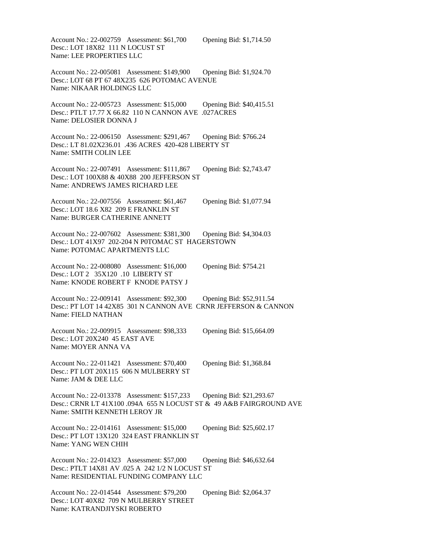Account No.: 22-002759 Assessment: \$61,700 Opening Bid: \$1,714.50 Desc.: LOT 18X82 111 N LOCUST ST Name: LEE PROPERTIES LLC

Account No.: 22-005081 Assessment: \$149,900 Opening Bid: \$1,924.70 Desc.: LOT 68 PT 67 48X235 626 POTOMAC AVENUE Name: NIKAAR HOLDINGS LLC

Account No.: 22-005723 Assessment: \$15,000 Opening Bid: \$40,415.51 Desc.: PTLT 17.77 X 66.82 110 N CANNON AVE .027ACRES Name: DELOSIER DONNA J

Account No.: 22-006150 Assessment: \$291,467 Opening Bid: \$766.24 Desc.: LT 81.02X236.01 .436 ACRES 420-428 LIBERTY ST Name: SMITH COLIN LEE

Account No.: 22-007491 Assessment: \$111,867 Opening Bid: \$2,743.47 Desc.: LOT 100X88 & 40X88 200 JEFFERSON ST Name: ANDREWS JAMES RICHARD LEE

Account No.: 22-007556 Assessment: \$61,467 Opening Bid: \$1,077.94 Desc.: LOT 18.6 X82 209 E FRANKLIN ST Name: BURGER CATHERINE ANNETT

Account No.: 22-007602 Assessment: \$381,300 Opening Bid: \$4,304.03 Desc.: LOT 41X97 202-204 N P0TOMAC ST HAGERSTOWN Name: POTOMAC APARTMENTS LLC

Account No.: 22-008080 Assessment: \$16,000 Opening Bid: \$754.21 Desc.: LOT 2 35X120 .10 LIBERTY ST Name: KNODE ROBERT F KNODE PATSY J

Account No.: 22-009141 Assessment: \$92,300 Opening Bid: \$52,911.54 Desc.: PT LOT 14 42X85 301 N CANNON AVE CRNR JEFFERSON & CANNON Name: FIELD NATHAN

Account No.: 22-009915 Assessment: \$98,333 Opening Bid: \$15,664.09 Desc.: LOT 20X240 45 EAST AVE Name: MOYER ANNA VA

Account No.: 22-011421 Assessment: \$70,400 Opening Bid: \$1,368.84 Desc.: PT LOT 20X115 606 N MULBERRY ST Name: JAM & DEE LLC

Account No.: 22-013378 Assessment: \$157,233 Opening Bid: \$21,293.67 Desc.: CRNR LT 41X100 .094A 655 N LOCUST ST & 49 A&B FAIRGROUND AVE Name: SMITH KENNETH LEROY JR

Account No.: 22-014161 Assessment: \$15,000 Opening Bid: \$25,602.17 Desc.: PT LOT 13X120 324 EAST FRANKLIN ST Name: YANG WEN CHIH

Account No.: 22-014323 Assessment: \$57,000 Opening Bid: \$46,632.64 Desc.: PTLT 14X81 AV .025 A 242 1/2 N LOCUST ST Name: RESIDENTIAL FUNDING COMPANY LLC

Account No.: 22-014544 Assessment: \$79,200 Opening Bid: \$2,064.37 Desc.: LOT 40X82 709 N MULBERRY STREET Name: KATRANDJIYSKI ROBERTO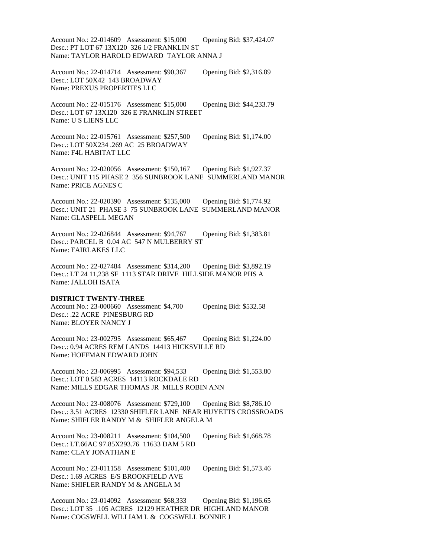Account No.: 22-014609 Assessment: \$15,000 Opening Bid: \$37,424.07 Desc.: PT LOT 67 13X120 326 1/2 FRANKLIN ST Name: TAYLOR HAROLD EDWARD TAYLOR ANNA J

Account No.: 22-014714 Assessment: \$90,367 Opening Bid: \$2,316.89 Desc.: LOT 50X42 143 BROADWAY Name: PREXUS PROPERTIES LLC

Account No.: 22-015176 Assessment: \$15,000 Opening Bid: \$44,233.79 Desc.: LOT 67 13X120 326 E FRANKLIN STREET Name: U S LIENS LLC

Account No.: 22-015761 Assessment: \$257,500 Opening Bid: \$1,174.00 Desc.: LOT 50X234 .269 AC 25 BROADWAY Name: F4L HABITAT LLC

Account No.: 22-020056 Assessment: \$150,167 Opening Bid: \$1,927.37 Desc.: UNIT 115 PHASE 2 356 SUNBROOK LANE SUMMERLAND MANOR Name: PRICE AGNES C

Account No.: 22-020390 Assessment: \$135,000 Opening Bid: \$1,774.92 Desc.: UNIT 21 PHASE 3 75 SUNBROOK LANE SUMMERLAND MANOR Name: GLASPELL MEGAN

Account No.: 22-026844 Assessment: \$94,767 Opening Bid: \$1,383.81 Desc.: PARCEL B 0.04 AC 547 N MULBERRY ST Name: FAIRLAKES LLC

Account No.: 22-027484 Assessment: \$314,200 Opening Bid: \$3,892.19 Desc.: LT 24 11,238 SF 1113 STAR DRIVE HILLSIDE MANOR PHS A Name: JALLOH ISATA

### **DISTRICT TWENTY-THREE**

Account No.: 23-000660 Assessment: \$4,700 Opening Bid: \$532.58 Desc.: .22 ACRE PINESBURG RD Name: BLOYER NANCY J

Account No.: 23-002795 Assessment: \$65,467 Opening Bid: \$1,224.00 Desc.: 0.94 ACRES REM LANDS 14413 HICKSVILLE RD Name: HOFFMAN EDWARD JOHN

Account No.: 23-006995 Assessment: \$94,533 Opening Bid: \$1,553.80 Desc.: LOT 0.583 ACRES 14113 ROCKDALE RD Name: MILLS EDGAR THOMAS JR MILLS ROBIN ANN

Account No.: 23-008076 Assessment: \$729,100 Opening Bid: \$8,786.10 Desc.: 3.51 ACRES 12330 SHIFLER LANE NEAR HUYETTS CROSSROADS Name: SHIFLER RANDY M & SHIFLER ANGELA M

Account No.: 23-008211 Assessment: \$104,500 Opening Bid: \$1,668.78 Desc.: LT.66AC 97.85X293.76 11633 DAM 5 RD Name: CLAY JONATHAN E

Account No.: 23-011158 Assessment: \$101,400 Opening Bid: \$1,573.46 Desc.: 1.69 ACRES E/S BROOKFIELD AVE Name: SHIFLER RANDY M & ANGELA M

Account No.: 23-014092 Assessment: \$68,333 Opening Bid: \$1,196.65 Desc.: LOT 35 .105 ACRES 12129 HEATHER DR HIGHLAND MANOR Name: COGSWELL WILLIAM L & COGSWELL BONNIE J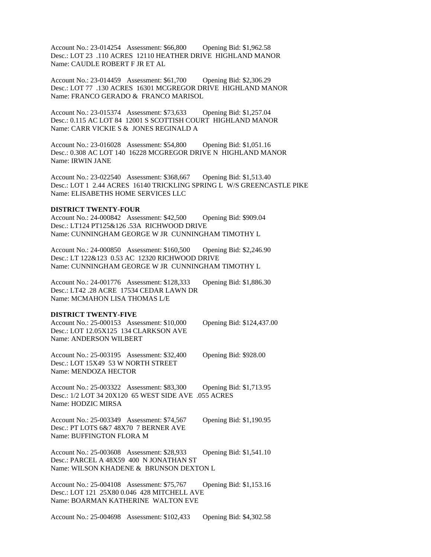Account No.: 23-014254 Assessment: \$66,800 Opening Bid: \$1,962.58 Desc.: LOT 23 .110 ACRES 12110 HEATHER DRIVE HIGHLAND MANOR Name: CAUDLE ROBERT F JR ET AL

Account No.: 23-014459 Assessment: \$61,700 Opening Bid: \$2,306.29 Desc.: LOT 77 .130 ACRES 16301 MCGREGOR DRIVE HIGHLAND MANOR Name: FRANCO GERADO & FRANCO MARISOL

Account No.: 23-015374 Assessment: \$73,633 Opening Bid: \$1,257.04 Desc.: 0.115 AC LOT 84 12001 S SCOTTISH COURT HIGHLAND MANOR Name: CARR VICKIE S & JONES REGINALD A

Account No.: 23-016028 Assessment: \$54,800 Opening Bid: \$1,051.16 Desc.: 0.308 AC LOT 140 16228 MCGREGOR DRIVE N HIGHLAND MANOR Name: IRWIN JANE

Account No.: 23-022540 Assessment: \$368,667 Opening Bid: \$1,513.40 Desc.: LOT 1 2.44 ACRES 16140 TRICKLING SPRING L W/S GREENCASTLE PIKE Name: ELISABETHS HOME SERVICES LLC

### **DISTRICT TWENTY-FOUR**

Account No.: 24-000842 Assessment: \$42,500 Opening Bid: \$909.04 Desc.: LT124 PT125&126 .53A RICHWOOD DRIVE Name: CUNNINGHAM GEORGE W JR CUNNINGHAM TIMOTHY L

Account No.: 24-000850 Assessment: \$160,500 Opening Bid: \$2,246.90 Desc.: LT 122&123 0.53 AC 12320 RICHWOOD DRIVE Name: CUNNINGHAM GEORGE W JR CUNNINGHAM TIMOTHY L

Account No.: 24-001776 Assessment: \$128,333 Opening Bid: \$1,886.30 Desc.: LT42 .28 ACRE 17534 CEDAR LAWN DR Name: MCMAHON LISA THOMAS L/E

#### **DISTRICT TWENTY-FIVE**

| Account No.: 25-000153 Assessment: \$10,000 | Opening Bid: \$124,437.00 |
|---------------------------------------------|---------------------------|
| Desc.: LOT 12.05X125 134 CLARKSON AVE       |                           |
| Name: ANDERSON WILBERT                      |                           |

Account No.: 25-003195 Assessment: \$32,400 Opening Bid: \$928.00 Desc.: LOT 15X49 53 W NORTH STREET Name: MENDOZA HECTOR

Account No.: 25-003322 Assessment: \$83,300 Opening Bid: \$1,713.95 Desc.: 1/2 LOT 34 20X120 65 WEST SIDE AVE .055 ACRES Name: HODZIC MIRSA

Account No.: 25-003349 Assessment: \$74,567 Opening Bid: \$1,190.95 Desc.: PT LOTS 6&7 48X70 7 BERNER AVE Name: BUFFINGTON FLORA M

Account No.: 25-003608 Assessment: \$28,933 Opening Bid: \$1,541.10 Desc.: PARCEL A 48X59 400 N JONATHAN ST Name: WILSON KHADENE & BRUNSON DEXTON L

Account No.: 25-004108 Assessment: \$75,767 Opening Bid: \$1,153.16 Desc.: LOT 121 25X80 0.046 428 MITCHELL AVE Name: BOARMAN KATHERINE WALTON EVE

Account No.: 25-004698 Assessment: \$102,433 Opening Bid: \$4,302.58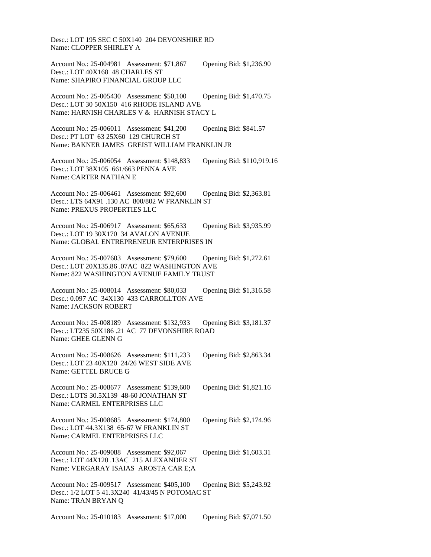Desc.: LOT 195 SEC C 50X140 204 DEVONSHIRE RD Name: CLOPPER SHIRLEY A

Account No.: 25-004981 Assessment: \$71,867 Opening Bid: \$1,236.90 Desc.: LOT 40X168 48 CHARLES ST Name: SHAPIRO FINANCIAL GROUP LLC

Account No.: 25-005430 Assessment: \$50,100 Opening Bid: \$1,470.75 Desc.: LOT 30 50X150 416 RHODE ISLAND AVE Name: HARNISH CHARLES V & HARNISH STACY L

Account No.: 25-006011 Assessment: \$41,200 Opening Bid: \$841.57 Desc.: PT LOT 63 25X60 129 CHURCH ST Name: BAKNER JAMES GREIST WILLIAM FRANKLIN JR

Account No.: 25-006054 Assessment: \$148,833 Opening Bid: \$110,919.16 Desc.: LOT 38X105 661/663 PENNA AVE Name: CARTER NATHAN E

Account No.: 25-006461 Assessment: \$92,600 Opening Bid: \$2,363.81 Desc.: LTS 64X91 .130 AC 800/802 W FRANKLIN ST Name: PREXUS PROPERTIES LLC

Account No.: 25-006917 Assessment: \$65,633 Opening Bid: \$3,935.99 Desc.: LOT 19 30X170 34 AVALON AVENUE Name: GLOBAL ENTREPRENEUR ENTERPRISES IN

Account No.: 25-007603 Assessment: \$79,600 Opening Bid: \$1,272.61 Desc.: LOT 20X135.86 .07AC 822 WASHINGTON AVE Name: 822 WASHINGTON AVENUE FAMILY TRUST

Account No.: 25-008014 Assessment: \$80,033 Opening Bid: \$1,316.58 Desc.: 0.097 AC 34X130 433 CARROLLTON AVE Name: JACKSON ROBERT

Account No.: 25-008189 Assessment: \$132,933 Opening Bid: \$3,181.37 Desc.: LT235 50X186 .21 AC 77 DEVONSHIRE ROAD Name: GHEE GLENN G

Account No.: 25-008626 Assessment: \$111,233 Opening Bid: \$2,863.34 Desc.: LOT 23 40X120 24/26 WEST SIDE AVE Name: GETTEL BRUCE G

Account No.: 25-008677 Assessment: \$139,600 Opening Bid: \$1,821.16 Desc.: LOTS 30.5X139 48-60 JONATHAN ST Name: CARMEL ENTERPRISES LLC

Account No.: 25-008685 Assessment: \$174,800 Opening Bid: \$2,174.96 Desc.: LOT 44.3X138 65-67 W FRANKLIN ST Name: CARMEL ENTERPRISES LLC

Account No.: 25-009088 Assessment: \$92,067 Opening Bid: \$1,603.31 Desc.: LOT 44X120 .13AC 215 ALEXANDER ST Name: VERGARAY ISAIAS AROSTA CAR E;A

Account No.: 25-009517 Assessment: \$405,100 Opening Bid: \$5,243.92 Desc.: 1/2 LOT 5 41.3X240 41/43/45 N POTOMAC ST Name: TRAN BRYAN Q

Account No.: 25-010183 Assessment: \$17,000 Opening Bid: \$7,071.50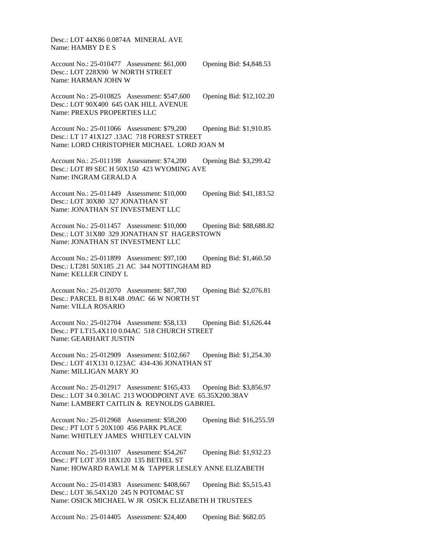Desc.: LOT 44X86 0.0874A MINERAL AVE Name: HAMBY D E S

Account No.: 25-010477 Assessment: \$61,000 Opening Bid: \$4,848.53 Desc.: LOT 228X90 W NORTH STREET Name: HARMAN JOHN W

Account No.: 25-010825 Assessment: \$547,600 Opening Bid: \$12,102.20 Desc.: LOT 90X400 645 OAK HILL AVENUE Name: PREXUS PROPERTIES LLC

Account No.: 25-011066 Assessment: \$79,200 Opening Bid: \$1,910.85 Desc.: LT 17 41X127 .13AC 718 FOREST STREET Name: LORD CHRISTOPHER MICHAEL LORD JOAN M

Account No.: 25-011198 Assessment: \$74,200 Opening Bid: \$3,299.42 Desc.: LOT 89 SEC H 50X150 423 WYOMING AVE Name: INGRAM GERALD A

Account No.: 25-011449 Assessment: \$10,000 Opening Bid: \$41,183.52 Desc.: LOT 30X80 327 JONATHAN ST Name: JONATHAN ST INVESTMENT LLC

Account No.: 25-011457 Assessment: \$10,000 Opening Bid: \$88,688.82 Desc.: LOT 31X80 329 JONATHAN ST HAGERSTOWN Name: JONATHAN ST INVESTMENT LLC

Account No.: 25-011899 Assessment: \$97,100 Opening Bid: \$1,460.50 Desc.: LT281 50X185 .21 AC 344 NOTTINGHAM RD Name: KELLER CINDY L

Account No.: 25-012070 Assessment: \$87,700 Opening Bid: \$2,076.81 Desc.: PARCEL B 81X48 .09AC 66 W NORTH ST Name: VILLA ROSARIO

Account No.: 25-012704 Assessment: \$58,133 Opening Bid: \$1,626.44 Desc.: PT LT15.4X110 0.04AC 518 CHURCH STREET Name: GEARHART JUSTIN

Account No.: 25-012909 Assessment: \$102,667 Opening Bid: \$1,254.30 Desc.: LOT 41X131 0.123AC 434-436 JONATHAN ST Name: MILLIGAN MARY JO

Account No.: 25-012917 Assessment: \$165,433 Opening Bid: \$3,856.97 Desc.: LOT 34 0.301AC 213 WOODPOINT AVE 65.35X200.38AV Name: LAMBERT CAITLIN & REYNOLDS GABRIEL

Account No.: 25-012968 Assessment: \$58,200 Opening Bid: \$16,255.59 Desc.: PT LOT 5 20X100 456 PARK PLACE Name: WHITLEY JAMES WHITLEY CALVIN

Account No.: 25-013107 Assessment: \$54,267 Opening Bid: \$1,932.23 Desc.: PT LOT 359 18X120 135 BETHEL ST Name: HOWARD RAWLE M & TAPPER LESLEY ANNE ELIZABETH

Account No.: 25-014383 Assessment: \$408,667 Opening Bid: \$5,515.43 Desc.: LOT 36.54X120 245 N POTOMAC ST Name: OSICK MICHAEL W JR OSICK ELIZABETH H TRUSTEES

Account No.: 25-014405 Assessment: \$24,400 Opening Bid: \$682.05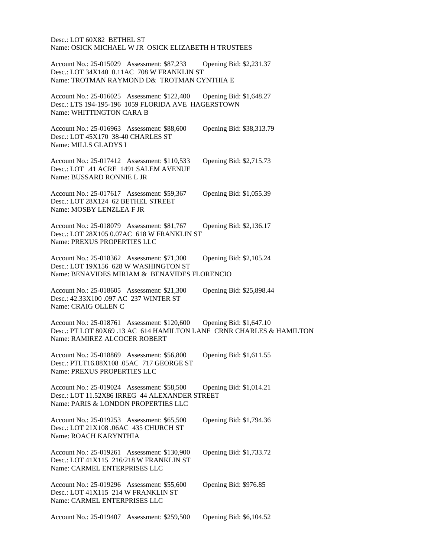Desc.: LOT 60X82 BETHEL ST Name: OSICK MICHAEL W JR OSICK ELIZABETH H TRUSTEES

Account No.: 25-015029 Assessment: \$87,233 Opening Bid: \$2,231.37 Desc.: LOT 34X140 0.11AC 708 W FRANKLIN ST Name: TROTMAN RAYMOND D& TROTMAN CYNTHIA E

Account No.: 25-016025 Assessment: \$122,400 Opening Bid: \$1,648.27 Desc.: LTS 194-195-196 1059 FLORIDA AVE HAGERSTOWN Name: WHITTINGTON CARA B

Account No.: 25-016963 Assessment: \$88,600 Opening Bid: \$38,313.79 Desc.: LOT 45X170 38-40 CHARLES ST Name: MILLS GLADYS I

Account No.: 25-017412 Assessment: \$110,533 Opening Bid: \$2,715.73 Desc.: LOT .41 ACRE 1491 SALEM AVENUE Name: BUSSARD RONNIE L JR

Account No.: 25-017617 Assessment: \$59,367 Opening Bid: \$1,055.39 Desc.: LOT 28X124 62 BETHEL STREET Name: MOSBY LENZLEA F JR

Account No.: 25-018079 Assessment: \$81,767 Opening Bid: \$2,136.17 Desc.: LOT 28X105 0.07AC 618 W FRANKLIN ST Name: PREXUS PROPERTIES LLC

Account No.: 25-018362 Assessment: \$71,300 Opening Bid: \$2,105.24 Desc.: LOT 19X156 628 W WASHINGTON ST Name: BENAVIDES MIRIAM & BENAVIDES FLORENCIO

Account No.: 25-018605 Assessment: \$21,300 Opening Bid: \$25,898.44 Desc.: 42.33X100 .097 AC 237 WINTER ST Name: CRAIG OLLEN C

Account No.: 25-018761 Assessment: \$120,600 Opening Bid: \$1,647.10 Desc.: PT LOT 80X69 .13 AC 614 HAMILTON LANE CRNR CHARLES & HAMILTON Name: RAMIREZ ALCOCER ROBERT

Account No.: 25-018869 Assessment: \$56,800 Opening Bid: \$1,611.55 Desc.: PTLT16.88X108 .05AC 717 GEORGE ST Name: PREXUS PROPERTIES LLC

Account No.: 25-019024 Assessment: \$58,500 Opening Bid: \$1,014.21 Desc.: LOT 11.52X86 IRREG 44 ALEXANDER STREET Name: PARIS & LONDON PROPERTIES LLC

Account No.: 25-019253 Assessment: \$65,500 Opening Bid: \$1,794.36 Desc.: LOT 21X108 .06AC 435 CHURCH ST Name: ROACH KARYNTHIA

Account No.: 25-019261 Assessment: \$130,900 Opening Bid: \$1,733.72 Desc.: LOT 41X115 216/218 W FRANKLIN ST Name: CARMEL ENTERPRISES LLC

Account No.: 25-019296 Assessment: \$55,600 Opening Bid: \$976.85 Desc.: LOT 41X115 214 W FRANKLIN ST Name: CARMEL ENTERPRISES LLC

Account No.: 25-019407 Assessment: \$259,500 Opening Bid: \$6,104.52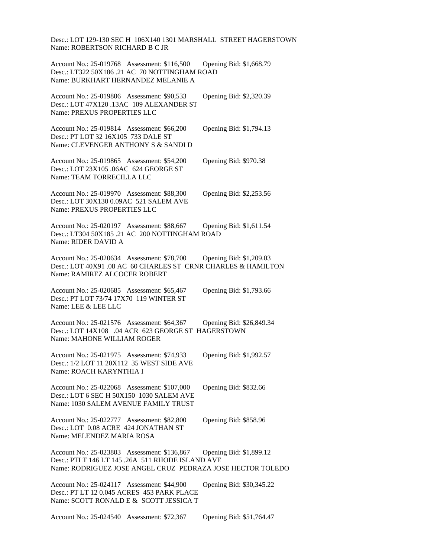Desc.: LOT 129-130 SEC H 106X140 1301 MARSHALL STREET HAGERSTOWN Name: ROBERTSON RICHARD B C JR

Account No.: 25-019768 Assessment: \$116,500 Opening Bid: \$1,668.79 Desc.: LT322 50X186 .21 AC 70 NOTTINGHAM ROAD Name: BURKHART HERNANDEZ MELANIE A

Account No.: 25-019806 Assessment: \$90,533 Opening Bid: \$2,320.39 Desc.: LOT 47X120 .13AC 109 ALEXANDER ST Name: PREXUS PROPERTIES LLC

Account No.: 25-019814 Assessment: \$66,200 Opening Bid: \$1,794.13 Desc.: PT LOT 32 16X105 733 DALE ST Name: CLEVENGER ANTHONY S & SANDI D

Account No.: 25-019865 Assessment: \$54,200 Opening Bid: \$970.38 Desc.: LOT 23X105 .06AC 624 GEORGE ST Name: TEAM TORRECILLA LLC

Account No.: 25-019970 Assessment: \$88,300 Opening Bid: \$2,253.56 Desc.: LOT 30X130 0.09AC 521 SALEM AVE Name: PREXUS PROPERTIES LLC

Account No.: 25-020197 Assessment: \$88,667 Opening Bid: \$1,611.54 Desc.: LT304 50X185 .21 AC 200 NOTTINGHAM ROAD Name: RIDER DAVID A

Account No.: 25-020634 Assessment: \$78,700 Opening Bid: \$1,209.03 Desc.: LOT 40X91 .08 AC 60 CHARLES ST CRNR CHARLES & HAMILTON Name: RAMIREZ ALCOCER ROBERT

Account No.: 25-020685 Assessment: \$65,467 Opening Bid: \$1,793.66 Desc.: PT LOT 73/74 17X70 119 WINTER ST Name: LEE & LEE LLC

Account No.: 25-021576 Assessment: \$64,367 Opening Bid: \$26,849.34 Desc.: LOT 14X108 .04 ACR 623 GEORGE ST HAGERSTOWN Name: MAHONE WILLIAM ROGER

Account No.: 25-021975 Assessment: \$74,933 Opening Bid: \$1,992.57 Desc.: 1/2 LOT 11 20X112 35 WEST SIDE AVE Name: ROACH KARYNTHIA I

Account No.: 25-022068 Assessment: \$107,000 Opening Bid: \$832.66 Desc.: LOT 6 SEC H 50X150 1030 SALEM AVE Name: 1030 SALEM AVENUE FAMILY TRUST

Account No.: 25-022777 Assessment: \$82,800 Opening Bid: \$858.96 Desc.: LOT 0.08 ACRE 424 JONATHAN ST Name: MELENDEZ MARIA ROSA

Account No.: 25-023803 Assessment: \$136,867 Opening Bid: \$1,899.12 Desc.: PTLT 146 LT 145 .26A 511 RHODE ISLAND AVE

Name: RODRIGUEZ JOSE ANGEL CRUZ PEDRAZA JOSE HECTOR TOLEDO

Account No.: 25-024117 Assessment: \$44,900 Opening Bid: \$30,345.22 Desc.: PT LT 12 0.045 ACRES 453 PARK PLACE Name: SCOTT RONALD E & SCOTT JESSICA T

Account No.: 25-024540 Assessment: \$72,367 Opening Bid: \$51,764.47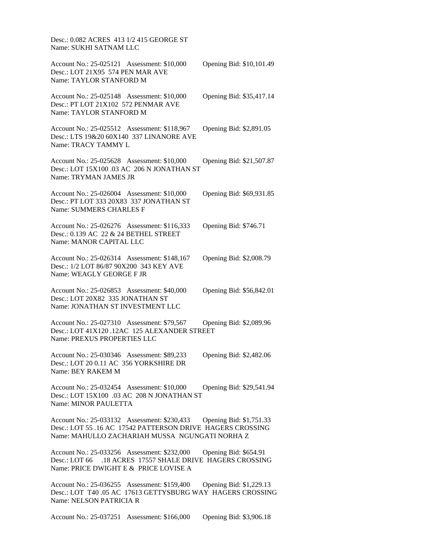Desc.: 0.082 ACRES 413 1/2 415 GEORGE ST Name: SUKHI SATNAM LLC

Account No.: 25-025121 Assessment: \$10,000 Opening Bid: \$10,101.49 Desc.: LOT 21X95 574 PEN MAR AVE Name: TAYLOR STANFORD M

Account No.: 25-025148 Assessment: \$10,000 Opening Bid: \$35,417.14 Desc.: PT LOT 21X102 572 PENMAR AVE Name: TAYLOR STANFORD M

Account No.: 25-025512 Assessment: \$118,967 Opening Bid: \$2,891.05 Desc.: LTS 19&20 60X140 337 LINANORE AVE Name: TRACY TAMMY L

Account No.: 25-025628 Assessment: \$10,000 Opening Bid: \$21,507.87 Desc.: LOT 15X100 .03 AC 206 N JONATHAN ST Name: TRYMAN JAMES JR

Account No.: 25-026004 Assessment: \$10,000 Opening Bid: \$69,931.85 Desc.: PT LOT 333 20X83 337 JONATHAN ST Name: SUMMERS CHARLES F

Account No.: 25-026276 Assessment: \$116,333 Opening Bid: \$746.71 Desc.: 0.139 AC 22 & 24 BETHEL STREET Name: MANOR CAPITAL LLC

Account No.: 25-026314 Assessment: \$148,167 Opening Bid: \$2,008.79 Desc.: 1/2 LOT 86/87 90X200 343 KEY AVE Name: WEAGLY GEORGE F JR

Account No.: 25-026853 Assessment: \$40,000 Opening Bid: \$56,842.01 Desc.: LOT 20X82 335 JONATHAN ST Name: JONATHAN ST INVESTMENT LLC

Account No.: 25-027310 Assessment: \$79,567 Opening Bid: \$2,089.96 Desc.: LOT 41X120 .12AC 125 ALEXANDER STREET Name: PREXUS PROPERTIES LLC

Account No.: 25-030346 Assessment: \$89,233 Opening Bid: \$2,482.06 Desc.: LOT 20 0.11 AC 356 YORKSHIRE DR Name: BEY RAKEM M

Account No.: 25-032454 Assessment: \$10,000 Opening Bid: \$29,541.94 Desc.: LOT 15X100 .03 AC 208 N JONATHAN ST Name: MINOR PAULETTA

Account No.: 25-033132 Assessment: \$230,433 Opening Bid: \$1,751.33 Desc.: LOT 55 .16 AC 17542 PATTERSON DRIVE HAGERS CROSSING Name: MAHULLO ZACHARIAH MUSSA NGUNGATI NORHA Z

Account No.: 25-033256 Assessment: \$232,000 Opening Bid: \$654.91 Desc.: LOT 66 .18 ACRES 17557 SHALE DRIVE HAGERS CROSSING Name: PRICE DWIGHT E & PRICE LOVISE A

Account No.: 25-036255 Assessment: \$159,400 Opening Bid: \$1,229.13 Desc.: LOT T40 .05 AC 17613 GETTYSBURG WAY HAGERS CROSSING Name: NELSON PATRICIA R

Account No.: 25-037251 Assessment: \$166,000 Opening Bid: \$3,906.18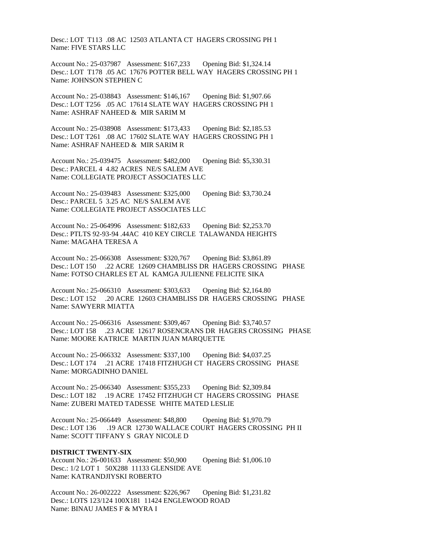Desc.: LOT T113 .08 AC 12503 ATLANTA CT HAGERS CROSSING PH 1 Name: FIVE STARS LLC

Account No.: 25-037987 Assessment: \$167,233 Opening Bid: \$1,324.14 Desc.: LOT T178 .05 AC 17676 POTTER BELL WAY HAGERS CROSSING PH 1 Name: JOHNSON STEPHEN C

Account No.: 25-038843 Assessment: \$146,167 Opening Bid: \$1,907.66 Desc.: LOT T256 .05 AC 17614 SLATE WAY HAGERS CROSSING PH 1 Name: ASHRAF NAHEED & MIR SARIM M

Account No.: 25-038908 Assessment: \$173,433 Opening Bid: \$2,185.53 Desc.: LOT T261 .08 AC 17602 SLATE WAY HAGERS CROSSING PH 1 Name: ASHRAF NAHEED & MIR SARIM R

Account No.: 25-039475 Assessment: \$482,000 Opening Bid: \$5,330.31 Desc.: PARCEL 4 4.82 ACRES NE/S SALEM AVE Name: COLLEGIATE PROJECT ASSOCIATES LLC

Account No.: 25-039483 Assessment: \$325,000 Opening Bid: \$3,730.24 Desc.: PARCEL 5 3.25 AC NE/S SALEM AVE Name: COLLEGIATE PROJECT ASSOCIATES LLC

Account No.: 25-064996 Assessment: \$182,633 Opening Bid: \$2,253.70 Desc.: PTLTS 92-93-94 .44AC 410 KEY CIRCLE TALAWANDA HEIGHTS Name: MAGAHA TERESA A

Account No.: 25-066308 Assessment: \$320,767 Opening Bid: \$3,861.89 Desc.: LOT 150 .22 ACRE 12609 CHAMBLISS DR HAGERS CROSSING PHASE Name: FOTSO CHARLES ET AL KAMGA JULIENNE FELICITE SIKA

Account No.: 25-066310 Assessment: \$303,633 Opening Bid: \$2,164.80 Desc.: LOT 152 .20 ACRE 12603 CHAMBLISS DR HAGERS CROSSING PHASE Name: SAWYERR MIATTA

Account No.: 25-066316 Assessment: \$309,467 Opening Bid: \$3,740.57 Desc.: LOT 158 .23 ACRE 12617 ROSENCRANS DR HAGERS CROSSING PHASE Name: MOORE KATRICE MARTIN JUAN MARQUETTE

Account No.: 25-066332 Assessment: \$337,100 Opening Bid: \$4,037.25 Desc.: LOT 174 .21 ACRE 17418 FITZHUGH CT HAGERS CROSSING PHASE Name: MORGADINHO DANIEL

Account No.: 25-066340 Assessment: \$355,233 Opening Bid: \$2,309.84 Desc.: LOT 182 .19 ACRE 17452 FITZHUGH CT HAGERS CROSSING PHASE Name: ZUBERI MATED TADESSE WHITE MATED LESLIE

Account No.: 25-066449 Assessment: \$48,800 Opening Bid: \$1,970.79 Desc.: LOT 136 .19 ACR 12730 WALLACE COURT HAGERS CROSSING PH II Name: SCOTT TIFFANY S GRAY NICOLE D

# **DISTRICT TWENTY-SIX**

Account No.: 26-001633 Assessment: \$50,900 Opening Bid: \$1,006.10 Desc.: 1/2 LOT 1 50X288 11133 GLENSIDE AVE Name: KATRANDJIYSKI ROBERTO

Account No.: 26-002222 Assessment: \$226,967 Opening Bid: \$1,231.82 Desc.: LOTS 123/124 100X181 11424 ENGLEWOOD ROAD Name: BINAU JAMES F & MYRA I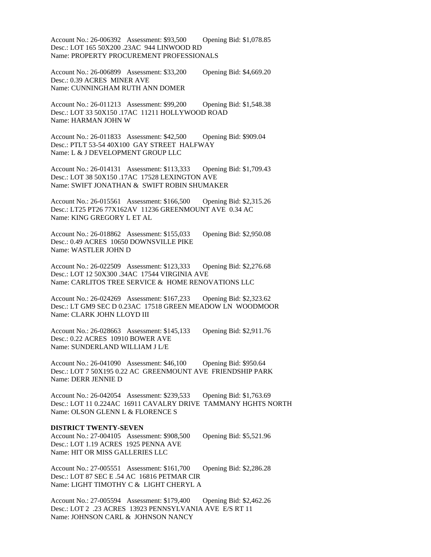Account No.: 26-006392 Assessment: \$93,500 Opening Bid: \$1,078.85 Desc.: LOT 165 50X200 .23AC 944 LINWOOD RD Name: PROPERTY PROCUREMENT PROFESSIONALS

Account No.: 26-006899 Assessment: \$33,200 Opening Bid: \$4,669.20 Desc.: 0.39 ACRES MINER AVE Name: CUNNINGHAM RUTH ANN DOMER

Account No.: 26-011213 Assessment: \$99,200 Opening Bid: \$1,548.38 Desc.: LOT 33 50X150 .17AC 11211 HOLLYWOOD ROAD Name: HARMAN JOHN W

Account No.: 26-011833 Assessment: \$42,500 Opening Bid: \$909.04 Desc.: PTLT 53-54 40X100 GAY STREET HALFWAY Name: L & J DEVELOPMENT GROUP LLC

Account No.: 26-014131 Assessment: \$113,333 Opening Bid: \$1,709.43 Desc.: LOT 38 50X150 .17AC 17528 LEXINGTON AVE Name: SWIFT JONATHAN & SWIFT ROBIN SHUMAKER

Account No.: 26-015561 Assessment: \$166,500 Opening Bid: \$2,315.26 Desc.: LT25 PT26 77X162AV 11236 GREENMOUNT AVE 0.34 AC Name: KING GREGORY L ET AL

Account No.: 26-018862 Assessment: \$155,033 Opening Bid: \$2,950.08 Desc.: 0.49 ACRES 10650 DOWNSVILLE PIKE Name: WASTLER JOHN D

Account No.: 26-022509 Assessment: \$123,333 Opening Bid: \$2,276.68 Desc.: LOT 12 50X300 .34AC 17544 VIRGINIA AVE Name: CARLITOS TREE SERVICE & HOME RENOVATIONS LLC

Account No.: 26-024269 Assessment: \$167,233 Opening Bid: \$2,323.62 Desc.: LT GM9 SEC D 0.23AC 17518 GREEN MEADOW LN WOODMOOR Name: CLARK JOHN LLOYD III

Account No.: 26-028663 Assessment: \$145,133 Opening Bid: \$2,911.76 Desc.: 0.22 ACRES 10910 BOWER AVE Name: SUNDERLAND WILLIAM J L/E

Account No.: 26-041090 Assessment: \$46,100 Opening Bid: \$950.64 Desc.: LOT 7 50X195 0.22 AC GREENMOUNT AVE FRIENDSHIP PARK Name: DERR JENNIE D

Account No.: 26-042054 Assessment: \$239,533 Opening Bid: \$1,763.69 Desc.: LOT 11 0.224AC 16911 CAVALRY DRIVE TAMMANY HGHTS NORTH Name: OLSON GLENN L & FLORENCE S

#### **DISTRICT TWENTY-SEVEN**

Account No.: 27-004105 Assessment: \$908,500 Opening Bid: \$5,521.96 Desc.: LOT 1.19 ACRES 1925 PENNA AVE Name: HIT OR MISS GALLERIES LLC

Account No.: 27-005551 Assessment: \$161,700 Opening Bid: \$2,286.28 Desc.: LOT 87 SEC E .54 AC 16816 PETMAR CIR Name: LIGHT TIMOTHY C & LIGHT CHERYL A

Account No.: 27-005594 Assessment: \$179,400 Opening Bid: \$2,462.26 Desc.: LOT 2 .23 ACRES 13923 PENNSYLVANIA AVE E/S RT 11 Name: JOHNSON CARL & JOHNSON NANCY